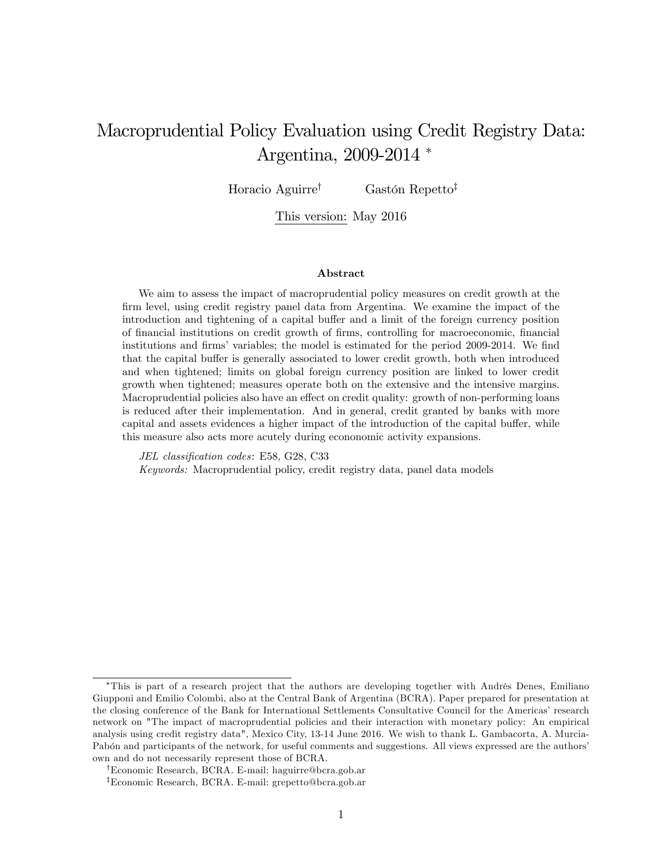# Macroprudential Policy Evaluation using Credit Registry Data: Argentina, 2009-2014

Horacio Aguirre<sup>†</sup> Gastón Repetto<sup>‡</sup>

This version: May 2016

#### Abstract

We aim to assess the impact of macroprudential policy measures on credit growth at the firm level, using credit registry panel data from Argentina. We examine the impact of the introduction and tightening of a capital buffer and a limit of the foreign currency position of Önancial institutions on credit growth of Örms, controlling for macroeconomic, Önancial institutions and firms' variables; the model is estimated for the period 2009-2014. We find that the capital buffer is generally associated to lower credit growth, both when introduced and when tightened; limits on global foreign currency position are linked to lower credit growth when tightened; measures operate both on the extensive and the intensive margins. Macroprudential policies also have an effect on credit quality: growth of non-performing loans is reduced after their implementation. And in general, credit granted by banks with more capital and assets evidences a higher impact of the introduction of the capital buffer, while this measure also acts more acutely during econonomic activity expansions.

JEL classification codes: E58, G28, C33 Keywords: Macroprudential policy, credit registry data, panel data models

<sup>\*</sup>This is part of a research project that the authors are developing together with Andrés Denes, Emiliano Giupponi and Emilio Colombi, also at the Central Bank of Argentina (BCRA). Paper prepared for presentation at the closing conference of the Bank for International Settlements Consultative Council for the Americas' research network on "The impact of macroprudential policies and their interaction with monetary policy: An empirical analysis using credit registry data", Mexico City, 13-14 June 2016. We wish to thank L. Gambacorta, A. Murcia-Pabón and participants of the network, for useful comments and suggestions. All views expressed are the authors' own and do not necessarily represent those of BCRA.

<sup>&</sup>lt;sup>†</sup>Economic Research, BCRA. E-mail: haguirre@bcra.gob.ar

<sup>&</sup>lt;sup>‡</sup>Economic Research, BCRA. E-mail: grepetto@bcra.gob.ar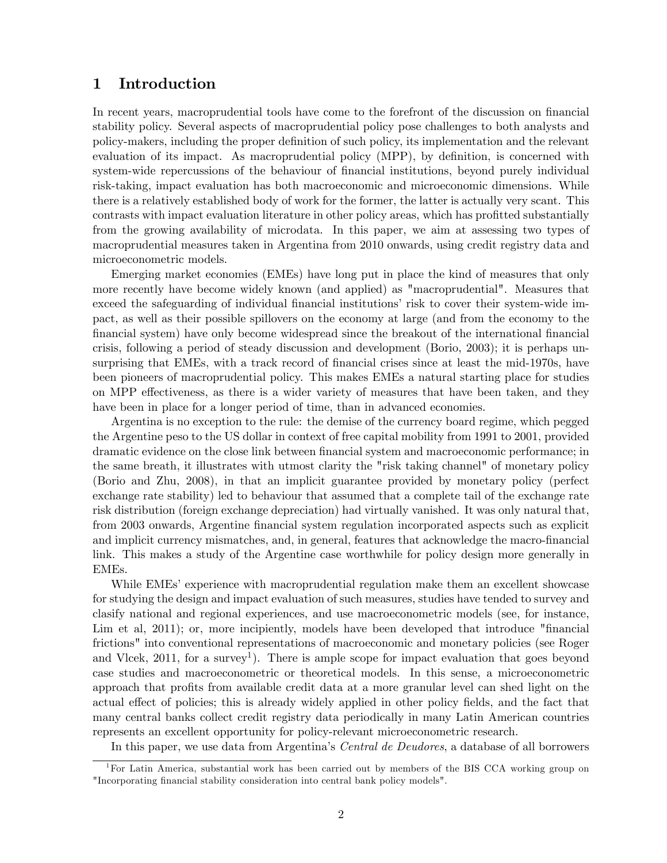## 1 Introduction

In recent years, macroprudential tools have come to the forefront of the discussion on financial stability policy. Several aspects of macroprudential policy pose challenges to both analysts and policy-makers, including the proper definition of such policy, its implementation and the relevant evaluation of its impact. As macroprudential policy (MPP), by definition, is concerned with system-wide repercussions of the behaviour of financial institutions, beyond purely individual risk-taking, impact evaluation has both macroeconomic and microeconomic dimensions. While there is a relatively established body of work for the former, the latter is actually very scant. This contrasts with impact evaluation literature in other policy areas, which has profitted substantially from the growing availability of microdata. In this paper, we aim at assessing two types of macroprudential measures taken in Argentina from 2010 onwards, using credit registry data and microeconometric models.

Emerging market economies (EMEs) have long put in place the kind of measures that only more recently have become widely known (and applied) as "macroprudential". Measures that exceed the safeguarding of individual financial institutions' risk to cover their system-wide impact, as well as their possible spillovers on the economy at large (and from the economy to the financial system) have only become widespread since the breakout of the international financial crisis, following a period of steady discussion and development (Borio, 2003); it is perhaps unsurprising that EMEs, with a track record of financial crises since at least the mid-1970s, have been pioneers of macroprudential policy. This makes EMEs a natural starting place for studies on MPP effectiveness, as there is a wider variety of measures that have been taken, and they have been in place for a longer period of time, than in advanced economies.

Argentina is no exception to the rule: the demise of the currency board regime, which pegged the Argentine peso to the US dollar in context of free capital mobility from 1991 to 2001, provided dramatic evidence on the close link between financial system and macroeconomic performance; in the same breath, it illustrates with utmost clarity the "risk taking channel" of monetary policy (Borio and Zhu, 2008), in that an implicit guarantee provided by monetary policy (perfect exchange rate stability) led to behaviour that assumed that a complete tail of the exchange rate risk distribution (foreign exchange depreciation) had virtually vanished. It was only natural that, from 2003 onwards, Argentine financial system regulation incorporated aspects such as explicit and implicit currency mismatches, and, in general, features that acknowledge the macro-financial link. This makes a study of the Argentine case worthwhile for policy design more generally in EMEs.

While EMEs' experience with macroprudential regulation make them an excellent showcase for studying the design and impact evaluation of such measures, studies have tended to survey and clasify national and regional experiences, and use macroeconometric models (see, for instance, Lim et al, 2011); or, more incipiently, models have been developed that introduce "financial" frictions" into conventional representations of macroeconomic and monetary policies (see Roger and Vlcek,  $2011$ , for a survey<sup>1</sup>). There is ample scope for impact evaluation that goes beyond case studies and macroeconometric or theoretical models. In this sense, a microeconometric approach that profits from available credit data at a more granular level can shed light on the actual effect of policies; this is already widely applied in other policy fields, and the fact that many central banks collect credit registry data periodically in many Latin American countries represents an excellent opportunity for policy-relevant microeconometric research.

In this paper, we use data from Argentina's *Central de Deudores*, a database of all borrowers

<sup>&</sup>lt;sup>1</sup>For Latin America, substantial work has been carried out by members of the BIS CCA working group on "Incorporating financial stability consideration into central bank policy models".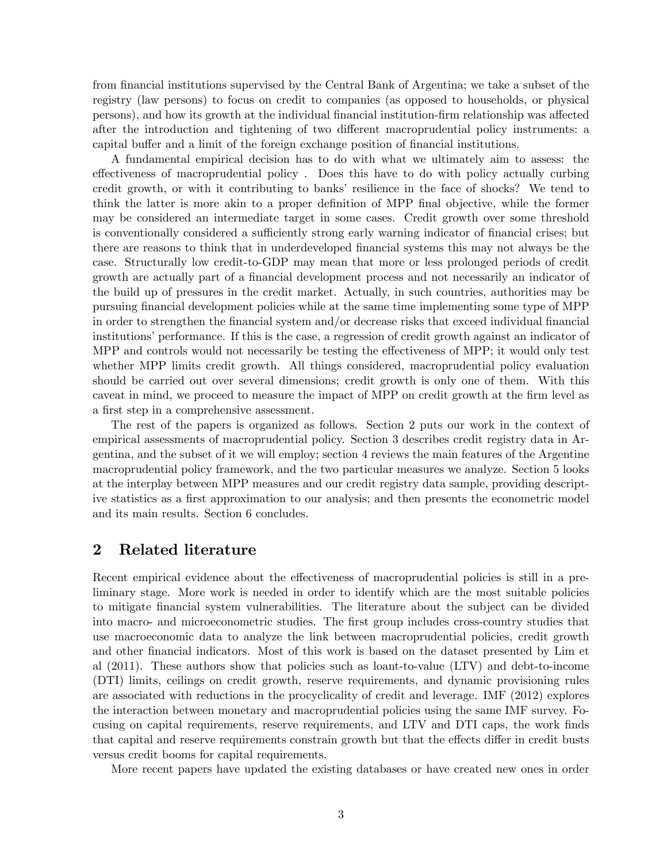from financial institutions supervised by the Central Bank of Argentina; we take a subset of the registry (law persons) to focus on credit to companies (as opposed to households, or physical persons), and how its growth at the individual financial institution-firm relationship was affected after the introduction and tightening of two different macroprudential policy instruments: a capital buffer and a limit of the foreign exchange position of financial institutions.

A fundamental empirical decision has to do with what we ultimately aim to assess: the effectiveness of macroprudential policy. Does this have to do with policy actually curbing credit growth, or with it contributing to banksí resilience in the face of shocks? We tend to think the latter is more akin to a proper definition of MPP final objective, while the former may be considered an intermediate target in some cases. Credit growth over some threshold is conventionally considered a sufficiently strong early warning indicator of financial crises; but there are reasons to think that in underdeveloped Önancial systems this may not always be the case. Structurally low credit-to-GDP may mean that more or less prolonged periods of credit growth are actually part of a financial development process and not necessarily an indicator of the build up of pressures in the credit market. Actually, in such countries, authorities may be pursuing Önancial development policies while at the same time implementing some type of MPP in order to strengthen the financial system and/or decrease risks that exceed individual financial institutions' performance. If this is the case, a regression of credit growth against an indicator of MPP and controls would not necessarily be testing the effectiveness of MPP; it would only test whether MPP limits credit growth. All things considered, macroprudential policy evaluation should be carried out over several dimensions; credit growth is only one of them. With this caveat in mind, we proceed to measure the impact of MPP on credit growth at the firm level as a first step in a comprehensive assessment.

The rest of the papers is organized as follows. Section 2 puts our work in the context of empirical assessments of macroprudential policy. Section 3 describes credit registry data in Argentina, and the subset of it we will employ; section 4 reviews the main features of the Argentine macroprudential policy framework, and the two particular measures we analyze. Section 5 looks at the interplay between MPP measures and our credit registry data sample, providing descriptive statistics as a first approximation to our analysis; and then presents the econometric model and its main results. Section 6 concludes.

#### 2 Related literature

Recent empirical evidence about the effectiveness of macroprudential policies is still in a preliminary stage. More work is needed in order to identify which are the most suitable policies to mitigate Önancial system vulnerabilities. The literature about the subject can be divided into macro- and microeconometric studies. The first group includes cross-country studies that use macroeconomic data to analyze the link between macroprudential policies, credit growth and other financial indicators. Most of this work is based on the dataset presented by Lim et al (2011). These authors show that policies such as loant-to-value (LTV) and debt-to-income (DTI) limits, ceilings on credit growth, reserve requirements, and dynamic provisioning rules are associated with reductions in the procyclicality of credit and leverage. IMF (2012) explores the interaction between monetary and macroprudential policies using the same IMF survey. Focusing on capital requirements, reserve requirements, and LTV and DTI caps, the work finds that capital and reserve requirements constrain growth but that the effects differ in credit busts versus credit booms for capital requirements.

More recent papers have updated the existing databases or have created new ones in order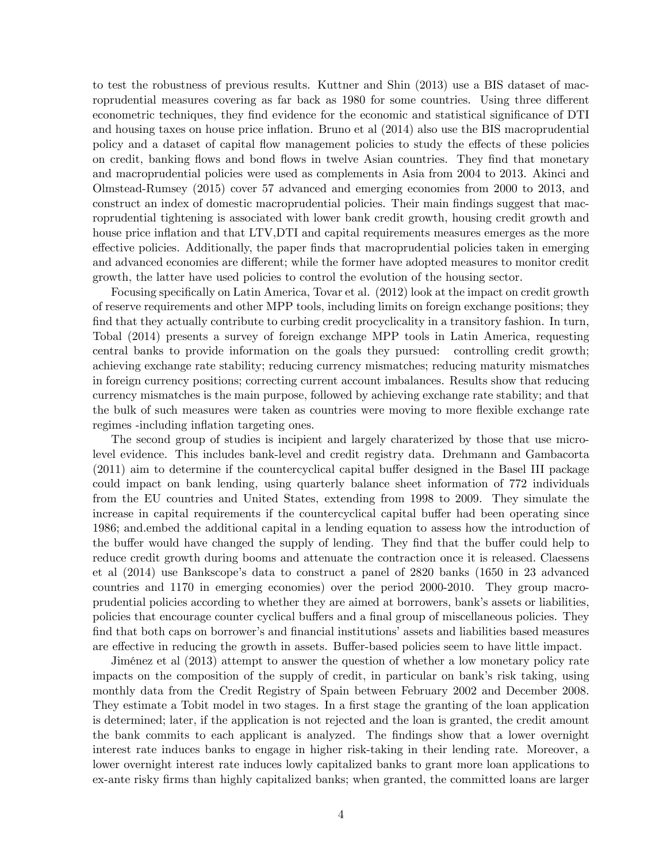to test the robustness of previous results. Kuttner and Shin (2013) use a BIS dataset of macroprudential measures covering as far back as 1980 for some countries. Using three different econometric techniques, they find evidence for the economic and statistical significance of DTI and housing taxes on house price inflation. Bruno et al  $(2014)$  also use the BIS macroprudential policy and a dataset of capital flow management policies to study the effects of these policies on credit, banking flows and bond flows in twelve Asian countries. They find that monetary and macroprudential policies were used as complements in Asia from 2004 to 2013. Akinci and Olmstead-Rumsey (2015) cover 57 advanced and emerging economies from 2000 to 2013, and construct an index of domestic macroprudential policies. Their main findings suggest that macroprudential tightening is associated with lower bank credit growth, housing credit growth and house price inflation and that LTV, DTI and capital requirements measures emerges as the more effective policies. Additionally, the paper finds that macroprudential policies taken in emerging and advanced economies are different; while the former have adopted measures to monitor credit growth, the latter have used policies to control the evolution of the housing sector.

Focusing specifically on Latin America, Tovar et al.  $(2012)$  look at the impact on credit growth of reserve requirements and other MPP tools, including limits on foreign exchange positions; they find that they actually contribute to curbing credit procyclicality in a transitory fashion. In turn, Tobal (2014) presents a survey of foreign exchange MPP tools in Latin America, requesting central banks to provide information on the goals they pursued: controlling credit growth; achieving exchange rate stability; reducing currency mismatches; reducing maturity mismatches in foreign currency positions; correcting current account imbalances. Results show that reducing currency mismatches is the main purpose, followed by achieving exchange rate stability; and that the bulk of such measures were taken as countries were moving to more flexible exchange rate regimes -including inflation targeting ones.

The second group of studies is incipient and largely charaterized by those that use microlevel evidence. This includes bank-level and credit registry data. Drehmann and Gambacorta  $(2011)$  aim to determine if the countercyclical capital buffer designed in the Basel III package could impact on bank lending, using quarterly balance sheet information of 772 individuals from the EU countries and United States, extending from 1998 to 2009. They simulate the increase in capital requirements if the countercyclical capital buffer had been operating since 1986; and.embed the additional capital in a lending equation to assess how the introduction of the buffer would have changed the supply of lending. They find that the buffer could help to reduce credit growth during booms and attenuate the contraction once it is released. Claessens et al (2014) use Bankscope's data to construct a panel of 2820 banks (1650 in 23 advanced countries and 1170 in emerging economies) over the period 2000-2010. They group macroprudential policies according to whether they are aimed at borrowers, bank's assets or liabilities, policies that encourage counter cyclical buffers and a final group of miscellaneous policies. They find that both caps on borrower's and financial institutions' assets and liabilities based measures are effective in reducing the growth in assets. Buffer-based policies seem to have little impact.

JimÈnez et al (2013) attempt to answer the question of whether a low monetary policy rate impacts on the composition of the supply of credit, in particular on bank's risk taking, using monthly data from the Credit Registry of Spain between February 2002 and December 2008. They estimate a Tobit model in two stages. In a first stage the granting of the loan application is determined; later, if the application is not rejected and the loan is granted, the credit amount the bank commits to each applicant is analyzed. The Öndings show that a lower overnight interest rate induces banks to engage in higher risk-taking in their lending rate. Moreover, a lower overnight interest rate induces lowly capitalized banks to grant more loan applications to ex-ante risky Örms than highly capitalized banks; when granted, the committed loans are larger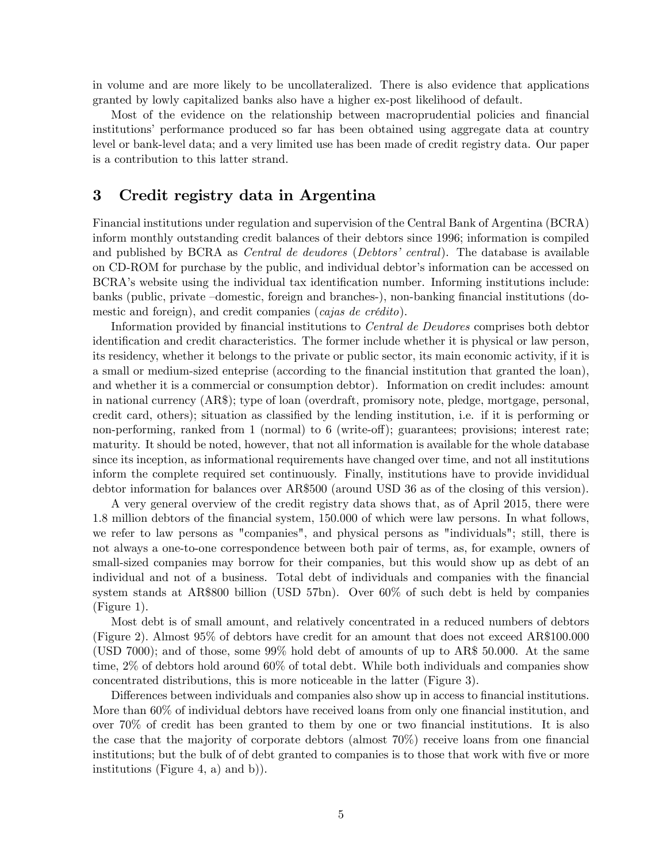in volume and are more likely to be uncollateralized. There is also evidence that applications granted by lowly capitalized banks also have a higher ex-post likelihood of default.

Most of the evidence on the relationship between macroprudential policies and financial institutions' performance produced so far has been obtained using aggregate data at country level or bank-level data; and a very limited use has been made of credit registry data. Our paper is a contribution to this latter strand.

## 3 Credit registry data in Argentina

Financial institutions under regulation and supervision of the Central Bank of Argentina (BCRA) inform monthly outstanding credit balances of their debtors since 1996; information is compiled and published by BCRA as *Central de deudores (Debtors' central)*. The database is available on CD-ROM for purchase by the public, and individual debtor's information can be accessed on BCRA's website using the individual tax identification number. Informing institutions include: banks (public, private -domestic, foreign and branches-), non-banking financial institutions (domestic and foreign), and credit companies (*cajas de crédito*).

Information provided by financial institutions to *Central de Deudores* comprises both debtor identification and credit characteristics. The former include whether it is physical or law person, its residency, whether it belongs to the private or public sector, its main economic activity, if it is a small or medium-sized enteprise (according to the financial institution that granted the loan), and whether it is a commercial or consumption debtor). Information on credit includes: amount in national currency (AR\$); type of loan (overdraft, promisory note, pledge, mortgage, personal, credit card, others); situation as classified by the lending institution, i.e. if it is performing or non-performing, ranked from 1 (normal) to 6 (write-off); guarantees; provisions; interest rate; maturity. It should be noted, however, that not all information is available for the whole database since its inception, as informational requirements have changed over time, and not all institutions inform the complete required set continuously. Finally, institutions have to provide invididual debtor information for balances over AR\$500 (around USD 36 as of the closing of this version).

A very general overview of the credit registry data shows that, as of April 2015, there were 1.8 million debtors of the Önancial system, 150.000 of which were law persons. In what follows, we refer to law persons as "companies", and physical persons as "individuals"; still, there is not always a one-to-one correspondence between both pair of terms, as, for example, owners of small-sized companies may borrow for their companies, but this would show up as debt of an individual and not of a business. Total debt of individuals and companies with the Önancial system stands at AR\$800 billion (USD 57bn). Over 60% of such debt is held by companies (Figure 1).

Most debt is of small amount, and relatively concentrated in a reduced numbers of debtors (Figure 2). Almost 95% of debtors have credit for an amount that does not exceed AR\$100.000 (USD 7000); and of those, some 99% hold debt of amounts of up to AR\$ 50.000. At the same time, 2% of debtors hold around 60% of total debt. While both individuals and companies show concentrated distributions, this is more noticeable in the latter (Figure 3).

Differences between individuals and companies also show up in access to financial institutions. More than 60% of individual debtors have received loans from only one financial institution, and over  $70\%$  of credit has been granted to them by one or two financial institutions. It is also the case that the majority of corporate debtors (almost  $70\%$ ) receive loans from one financial institutions; but the bulk of of debt granted to companies is to those that work with five or more institutions (Figure 4, a) and b)).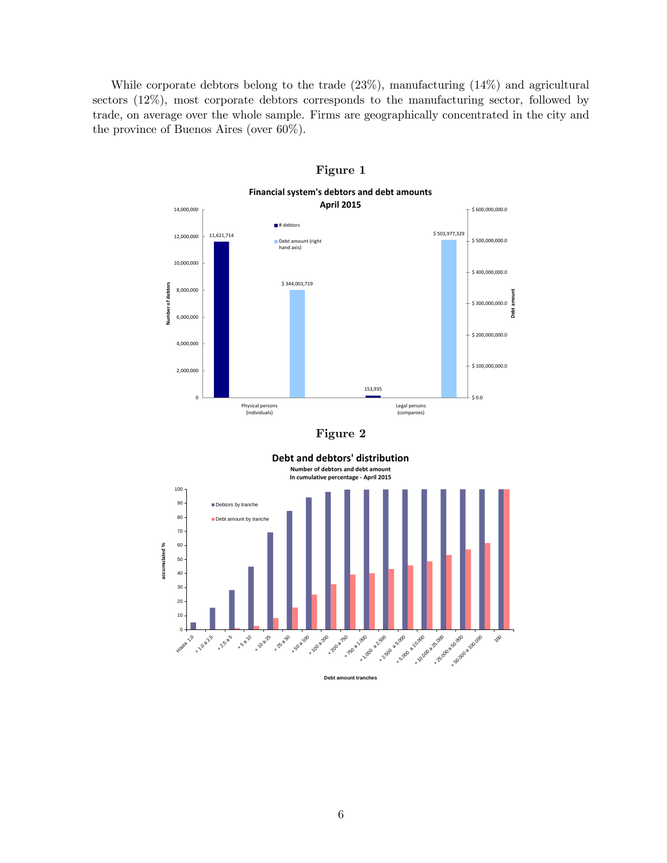While corporate debtors belong to the trade (23%), manufacturing (14%) and agricultural sectors (12%), most corporate debtors corresponds to the manufacturing sector, followed by trade, on average over the whole sample. Firms are geographically concentrated in the city and the province of Buenos Aires (over 60%).



Figure 1

**Debt an**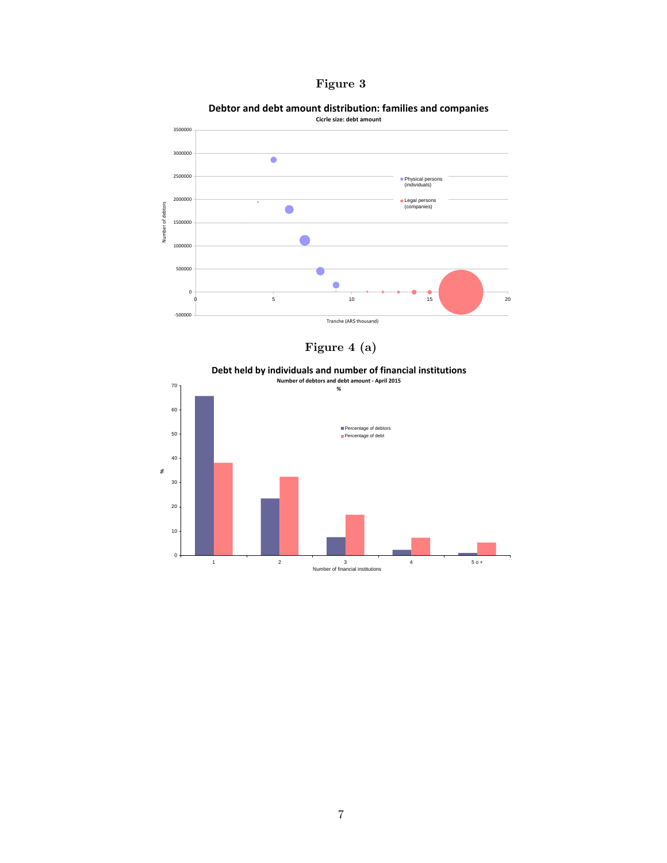



**Debtor and debt amount distribution: families and companies**



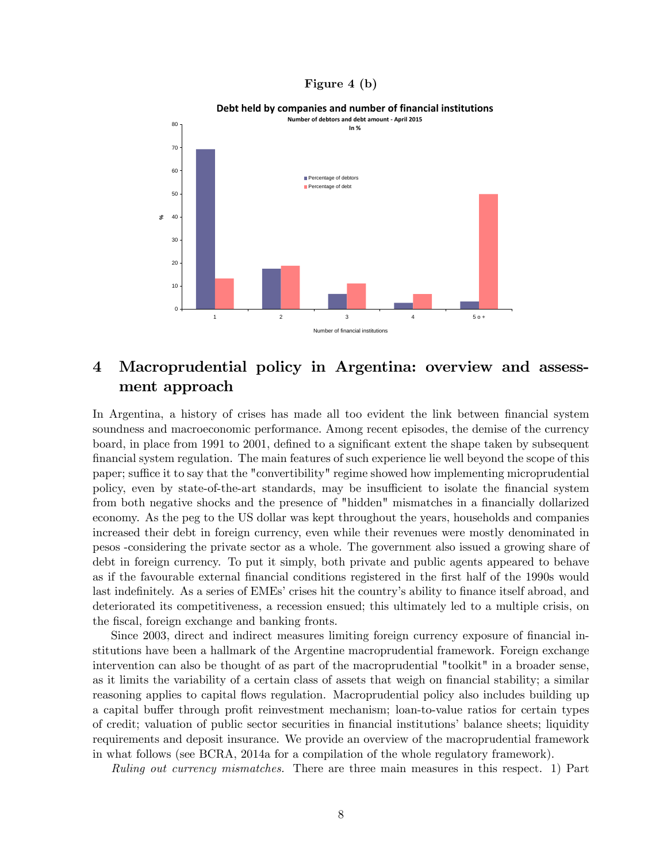#### Figure 4 (b)



#### **Debt held by companies and number of financial institutions**

# 4 Macroprudential policy in Argentina: overview and assessment approach

In Argentina, a history of crises has made all too evident the link between financial system soundness and macroeconomic performance. Among recent episodes, the demise of the currency board, in place from 1991 to 2001, defined to a significant extent the shape taken by subsequent Önancial system regulation. The main features of such experience lie well beyond the scope of this paper; suffice it to say that the "convertibility" regime showed how implementing microprudential policy, even by state-of-the-art standards, may be insufficient to isolate the financial system from both negative shocks and the presence of "hidden" mismatches in a financially dollarized economy. As the peg to the US dollar was kept throughout the years, households and companies increased their debt in foreign currency, even while their revenues were mostly denominated in pesos -considering the private sector as a whole. The government also issued a growing share of debt in foreign currency. To put it simply, both private and public agents appeared to behave as if the favourable external financial conditions registered in the first half of the 1990s would last indefinitely. As a series of EMEs' crises hit the country's ability to finance itself abroad, and deteriorated its competitiveness, a recession ensued; this ultimately led to a multiple crisis, on the fiscal, foreign exchange and banking fronts.

Since 2003, direct and indirect measures limiting foreign currency exposure of financial institutions have been a hallmark of the Argentine macroprudential framework. Foreign exchange intervention can also be thought of as part of the macroprudential "toolkit" in a broader sense, as it limits the variability of a certain class of assets that weigh on financial stability; a similar reasoning applies to capital flows regulation. Macroprudential policy also includes building up a capital buffer through profit reinvestment mechanism; loan-to-value ratios for certain types of credit; valuation of public sector securities in financial institutions' balance sheets; liquidity requirements and deposit insurance. We provide an overview of the macroprudential framework in what follows (see BCRA, 2014a for a compilation of the whole regulatory framework).

Ruling out currency mismatches. There are three main measures in this respect. 1) Part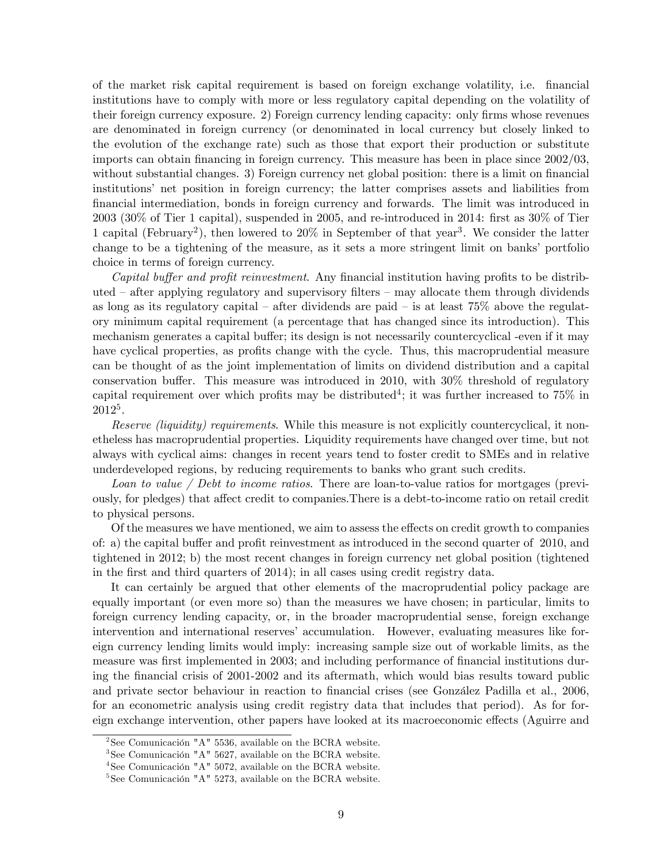of the market risk capital requirement is based on foreign exchange volatility, i.e. Önancial institutions have to comply with more or less regulatory capital depending on the volatility of their foreign currency exposure. 2) Foreign currency lending capacity: only firms whose revenues are denominated in foreign currency (or denominated in local currency but closely linked to the evolution of the exchange rate) such as those that export their production or substitute imports can obtain financing in foreign currency. This measure has been in place since  $2002/03$ , without substantial changes. 3) Foreign currency net global position: there is a limit on financial institutions' net position in foreign currency; the latter comprises assets and liabilities from Önancial intermediation, bonds in foreign currency and forwards. The limit was introduced in  $2003$  (30% of Tier 1 capital), suspended in 2005, and re-introduced in 2014: first as  $30\%$  of Tier 1 capital (February<sup>2</sup>), then lowered to 20% in September of that year<sup>3</sup>. We consider the latter change to be a tightening of the measure, as it sets a more stringent limit on banks' portfolio choice in terms of foreign currency.

*Capital buffer and profit reinvestment.* Any financial institution having profits to be distributed  $\alpha$  after applying regulatory and supervisory filters  $\alpha$  may allocate them through dividends as long as its regulatory capital – after dividends are paid – is at least  $75\%$  above the regulatory minimum capital requirement (a percentage that has changed since its introduction). This mechanism generates a capital buffer; its design is not necessarily countercyclical -even if it may have cyclical properties, as profits change with the cycle. Thus, this macroprudential measure can be thought of as the joint implementation of limits on dividend distribution and a capital conservation buffer. This measure was introduced in  $2010$ , with  $30\%$  threshold of regulatory capital requirement over which profits may be distributed<sup>4</sup>; it was further increased to 75% in 2012<sup>5</sup> .

Reserve (liquidity) requirements. While this measure is not explicitly countercyclical, it nonetheless has macroprudential properties. Liquidity requirements have changed over time, but not always with cyclical aims: changes in recent years tend to foster credit to SMEs and in relative underdeveloped regions, by reducing requirements to banks who grant such credits.

Loan to value / Debt to income ratios. There are loan-to-value ratios for mortgages (previously, for pledges) that affect credit to companies. There is a debt-to-income ratio on retail credit to physical persons.

Of the measures we have mentioned, we aim to assess the effects on credit growth to companies of: a) the capital buffer and profit reinvestment as introduced in the second quarter of  $2010$ , and tightened in 2012; b) the most recent changes in foreign currency net global position (tightened in the Örst and third quarters of 2014); in all cases using credit registry data.

It can certainly be argued that other elements of the macroprudential policy package are equally important (or even more so) than the measures we have chosen; in particular, limits to foreign currency lending capacity, or, in the broader macroprudential sense, foreign exchange intervention and international reserves' accumulation. However, evaluating measures like foreign currency lending limits would imply: increasing sample size out of workable limits, as the measure was first implemented in 2003; and including performance of financial institutions during the financial crisis of 2001-2002 and its aftermath, which would bias results toward public and private sector behaviour in reaction to financial crises (see González Padilla et al., 2006, for an econometric analysis using credit registry data that includes that period). As for foreign exchange intervention, other papers have looked at its macroeconomic effects (Aguirre and

 $2$ See Comunicación "A" 5536, available on the BCRA website.

 $3$ See Comunicación "A" 5627, available on the BCRA website.

 $4$ See Comunicación "A" 5072, available on the BCRA website.

 $5$ See Comunicación "A" 5273, available on the BCRA website.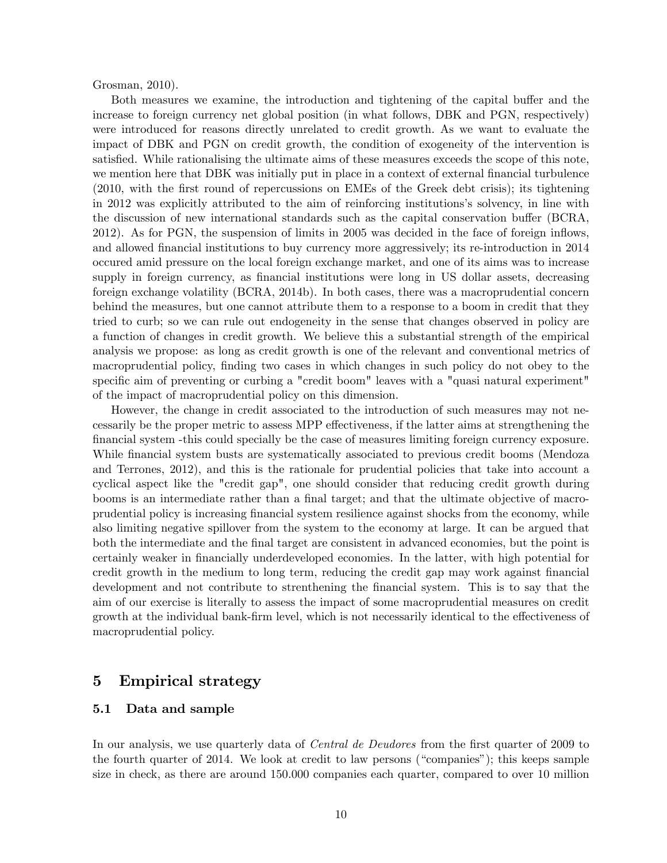Grosman, 2010).

Both measures we examine, the introduction and tightening of the capital buffer and the increase to foreign currency net global position (in what follows, DBK and PGN, respectively) were introduced for reasons directly unrelated to credit growth. As we want to evaluate the impact of DBK and PGN on credit growth, the condition of exogeneity of the intervention is satisfied. While rationalising the ultimate aims of these measures exceeds the scope of this note, we mention here that DBK was initially put in place in a context of external financial turbulence (2010, with the Örst round of repercussions on EMEs of the Greek debt crisis); its tightening in 2012 was explicitly attributed to the aim of reinforcing institutions's solvency, in line with the discussion of new international standards such as the capital conservation buffer (BCRA, 2012). As for PGN, the suspension of limits in 2005 was decided in the face of foreign ináows, and allowed financial institutions to buy currency more aggressively; its re-introduction in 2014 occured amid pressure on the local foreign exchange market, and one of its aims was to increase supply in foreign currency, as financial institutions were long in US dollar assets, decreasing foreign exchange volatility (BCRA, 2014b). In both cases, there was a macroprudential concern behind the measures, but one cannot attribute them to a response to a boom in credit that they tried to curb; so we can rule out endogeneity in the sense that changes observed in policy are a function of changes in credit growth. We believe this a substantial strength of the empirical analysis we propose: as long as credit growth is one of the relevant and conventional metrics of macroprudential policy, finding two cases in which changes in such policy do not obey to the specific aim of preventing or curbing a "credit boom" leaves with a "quasi natural experiment" of the impact of macroprudential policy on this dimension.

However, the change in credit associated to the introduction of such measures may not necessarily be the proper metric to assess MPP effectiveness, if the latter aims at strengthening the Önancial system -this could specially be the case of measures limiting foreign currency exposure. While financial system busts are systematically associated to previous credit booms (Mendoza and Terrones, 2012), and this is the rationale for prudential policies that take into account a cyclical aspect like the "credit gap", one should consider that reducing credit growth during booms is an intermediate rather than a final target; and that the ultimate objective of macroprudential policy is increasing financial system resilience against shocks from the economy, while also limiting negative spillover from the system to the economy at large. It can be argued that both the intermediate and the final target are consistent in advanced economies, but the point is certainly weaker in financially underdeveloped economies. In the latter, with high potential for credit growth in the medium to long term, reducing the credit gap may work against financial development and not contribute to strenthening the financial system. This is to say that the aim of our exercise is literally to assess the impact of some macroprudential measures on credit growth at the individual bank-firm level, which is not necessarily identical to the effectiveness of macroprudential policy.

## 5 Empirical strategy

#### 5.1 Data and sample

In our analysis, we use quarterly data of *Central de Deudores* from the first quarter of 2009 to the fourth quarter of 2014. We look at credit to law persons ( $\degree$ companies $\degree$ ); this keeps sample size in check, as there are around 150.000 companies each quarter, compared to over 10 million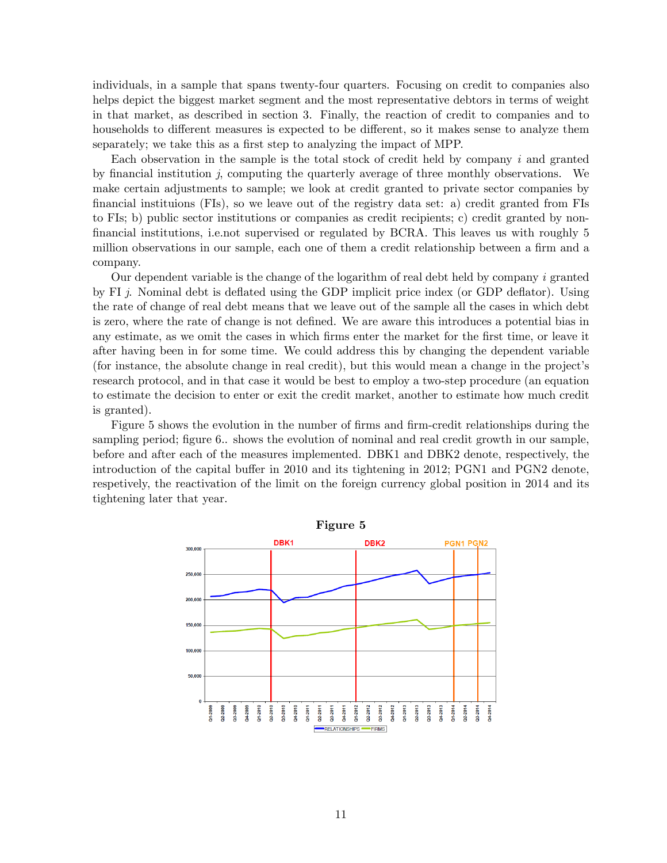individuals, in a sample that spans twenty-four quarters. Focusing on credit to companies also helps depict the biggest market segment and the most representative debtors in terms of weight in that market, as described in section 3. Finally, the reaction of credit to companies and to households to different measures is expected to be different, so it makes sense to analyze them separately; we take this as a first step to analyzing the impact of MPP.

Each observation in the sample is the total stock of credit held by company i and granted by financial institution j, computing the quarterly average of three monthly observations. We make certain adjustments to sample; we look at credit granted to private sector companies by Önancial instituions (FIs), so we leave out of the registry data set: a) credit granted from FIs to FIs; b) public sector institutions or companies as credit recipients; c) credit granted by nonfinancial institutions, i.e.not supervised or regulated by BCRA. This leaves us with roughly 5 million observations in our sample, each one of them a credit relationship between a firm and a company.

Our dependent variable is the change of the logarithm of real debt held by company i granted by FI  $j$ . Nominal debt is deflated using the GDP implicit price index (or GDP deflator). Using the rate of change of real debt means that we leave out of the sample all the cases in which debt is zero, where the rate of change is not defined. We are aware this introduces a potential bias in any estimate, as we omit the cases in which firms enter the market for the first time, or leave it after having been in for some time. We could address this by changing the dependent variable (for instance, the absolute change in real credit), but this would mean a change in the projectís research protocol, and in that case it would be best to employ a two-step procedure (an equation to estimate the decision to enter or exit the credit market, another to estimate how much credit is granted).

Figure 5 shows the evolution in the number of firms and firm-credit relationships during the sampling period; figure 6.. shows the evolution of nominal and real credit growth in our sample, before and after each of the measures implemented. DBK1 and DBK2 denote, respectively, the introduction of the capital buffer in 2010 and its tightening in 2012; PGN1 and PGN2 denote, respetively, the reactivation of the limit on the foreign currency global position in 2014 and its tightening later that year.

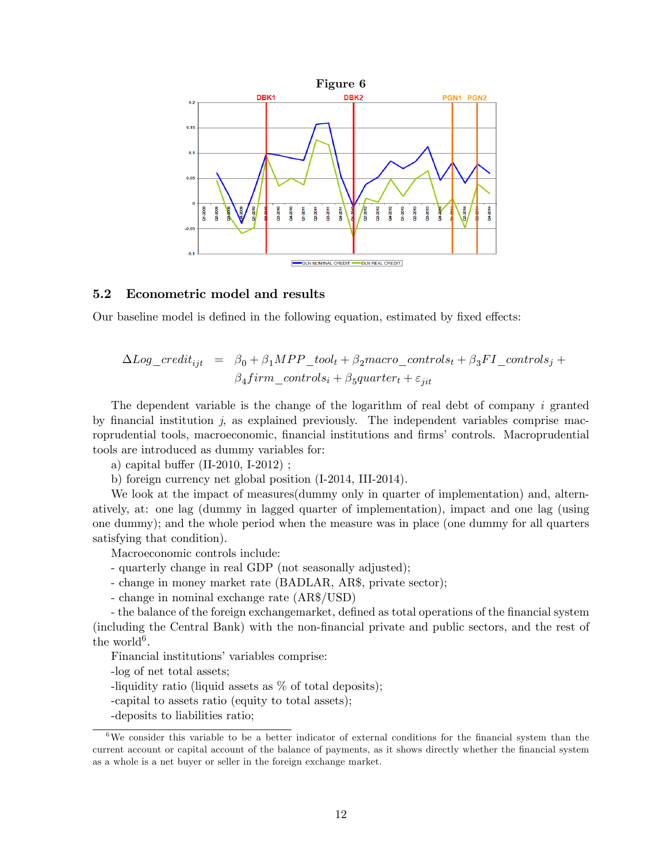

#### 5.2 Econometric model and results

Our baseline model is defined in the following equation, estimated by fixed effects:

$$
\Delta Log\_credit_{ijt} = \beta_0 + \beta_1 MPP\_tool_t + \beta_2 macro\_controls_t + \beta_3 FI\_controls_j + \beta_4 firm\_controls_i + \beta_5 quarter_t + \varepsilon_{jit}
$$

The dependent variable is the change of the logarithm of real debt of company i granted by financial institution  $j$ , as explained previously. The independent variables comprise macroprudential tools, macroeconomic, financial institutions and firms' controls. Macroprudential tools are introduced as dummy variables for:

a) capital buffer  $(II-2010, I-2012)$ ;

b) foreign currency net global position (I-2014, III-2014).

We look at the impact of measures (dummy only in quarter of implementation) and, alternatively, at: one lag (dummy in lagged quarter of implementation), impact and one lag (using one dummy); and the whole period when the measure was in place (one dummy for all quarters satisfying that condition).

Macroeconomic controls include:

- quarterly change in real GDP (not seasonally adjusted);
- change in money market rate (BADLAR, AR\$, private sector);
- change in nominal exchange rate (AR\$/USD)

- the balance of the foreign exchangemarket, defined as total operations of the financial system (including the Central Bank) with the non-Önancial private and public sectors, and the rest of the world<sup>6</sup>.

Financial institutions' variables comprise:

-log of net total assets;

-liquidity ratio (liquid assets as % of total deposits);

- -capital to assets ratio (equity to total assets);
- -deposits to liabilities ratio;

 $6$ We consider this variable to be a better indicator of external conditions for the financial system than the current account or capital account of the balance of payments, as it shows directly whether the financial system as a whole is a net buyer or seller in the foreign exchange market.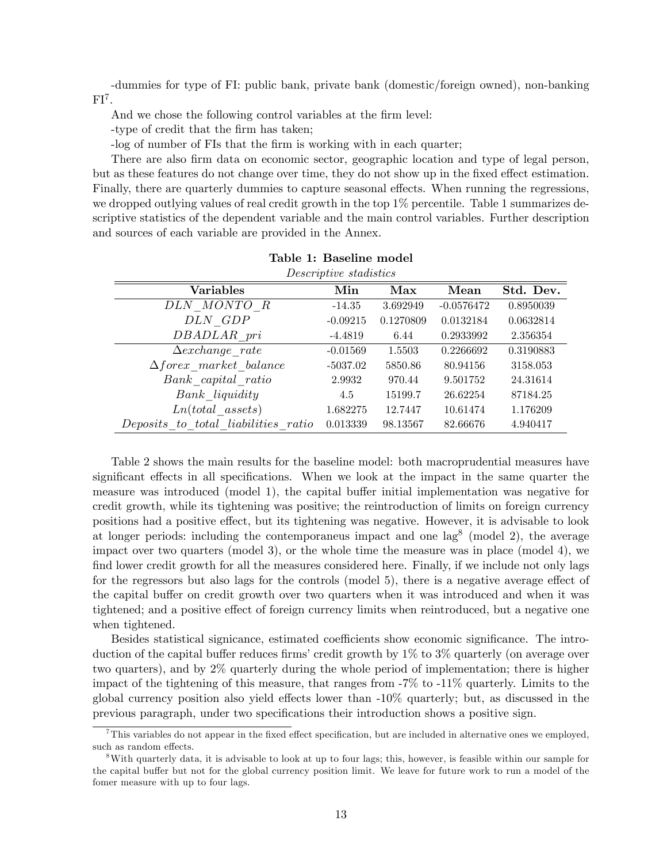-dummies for type of FI: public bank, private bank (domestic/foreign owned), non-banking  $FI<sup>7</sup>$ .

And we chose the following control variables at the firm level:

-type of credit that the Örm has taken;

-log of number of FIs that the firm is working with in each quarter;

There are also Örm data on economic sector, geographic location and type of legal person, but as these features do not change over time, they do not show up in the fixed effect estimation. Finally, there are quarterly dummies to capture seasonal effects. When running the regressions, we dropped outlying values of real credit growth in the top 1% percentile. Table 1 summarizes descriptive statistics of the dependent variable and the main control variables. Further description and sources of each variable are provided in the Annex.

| Descriptive stadistics              |            |           |              |           |  |  |
|-------------------------------------|------------|-----------|--------------|-----------|--|--|
| <b>Variables</b>                    | Min        | Max       | Mean         | Std. Dev. |  |  |
| DLN MONTO R                         | $-14.35$   | 3.692949  | $-0.0576472$ | 0.8950039 |  |  |
| DLN GDP                             | $-0.09215$ | 0.1270809 | 0.0132184    | 0.0632814 |  |  |
| DBADLAR pri                         | $-4.4819$  | 6.44      | 0.2933992    | 2.356354  |  |  |
| $\triangle exchange$ rate           | $-0.01569$ | 1.5503    | 0.2266692    | 0.3190883 |  |  |
| $\Delta force$ market balance       | $-5037.02$ | 5850.86   | 80.94156     | 3158.053  |  |  |
| Bank capital ratio                  | 2.9932     | 970.44    | 9.501752     | 24.31614  |  |  |
| Bank liquidity                      | 4.5        | 15199.7   | 26.62254     | 87184.25  |  |  |
| $Ln (total \; assets)$              | 1.682275   | 12.7447   | 10.61474     | 1.176209  |  |  |
| Deposits to total liabilities ratio | 0.013339   | 98.13567  | 82.66676     | 4.940417  |  |  |

Table 2 shows the main results for the baseline model: both macroprudential measures have significant effects in all specifications. When we look at the impact in the same quarter the measure was introduced (model 1), the capital buffer initial implementation was negative for credit growth, while its tightening was positive; the reintroduction of limits on foreign currency positions had a positive effect, but its tightening was negative. However, it is advisable to look at longer periods: including the contemporaneus impact and one lag<sup>8</sup> (model 2), the average impact over two quarters (model 3), or the whole time the measure was in place (model 4), we find lower credit growth for all the measures considered here. Finally, if we include not only lags for the regressors but also lags for the controls (model 5), there is a negative average effect of the capital buffer on credit growth over two quarters when it was introduced and when it was tightened; and a positive effect of foreign currency limits when reintroduced, but a negative one when tightened.

Besides statistical signicance, estimated coefficients show economic significance. The introduction of the capital buffer reduces firms' credit growth by  $1\%$  to  $3\%$  quarterly (on average over two quarters), and by 2% quarterly during the whole period of implementation; there is higher impact of the tightening of this measure, that ranges from -7% to -11% quarterly. Limits to the global currency position also yield effects lower than  $-10\%$  quarterly; but, as discussed in the previous paragraph, under two specifications their introduction shows a positive sign.

 $^7$ This variables do not appear in the fixed effect specification, but are included in alternative ones we employed, such as random effects.

<sup>8</sup>With quarterly data, it is advisable to look at up to four lags; this, however, is feasible within our sample for the capital buffer but not for the global currency position limit. We leave for future work to run a model of the fomer measure with up to four lags.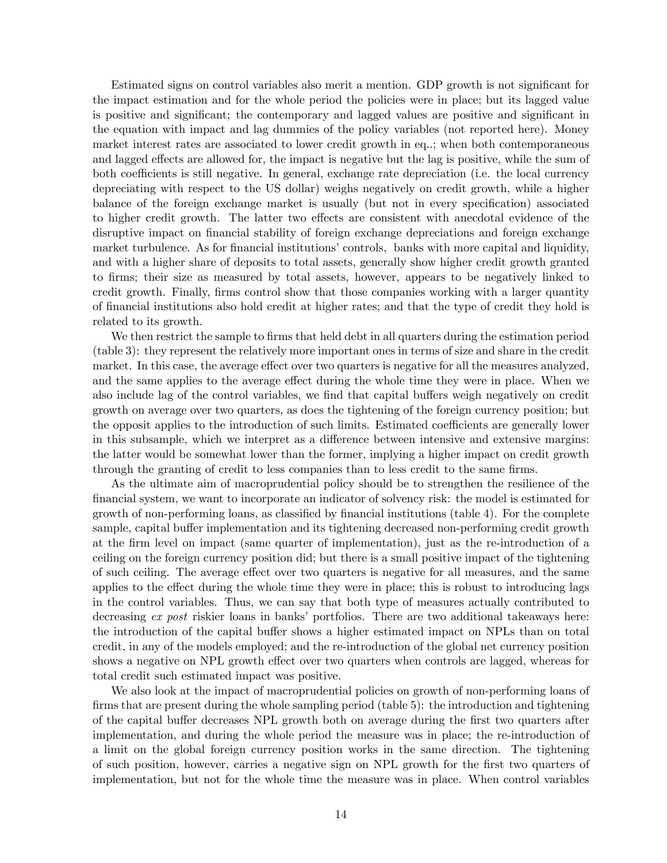Estimated signs on control variables also merit a mention. GDP growth is not significant for the impact estimation and for the whole period the policies were in place; but its lagged value is positive and significant; the contemporary and lagged values are positive and significant in the equation with impact and lag dummies of the policy variables (not reported here). Money market interest rates are associated to lower credit growth in eq..; when both contemporaneous and lagged effects are allowed for, the impact is negative but the lag is positive, while the sum of both coefficients is still negative. In general, exchange rate depreciation (i.e. the local currency depreciating with respect to the US dollar) weighs negatively on credit growth, while a higher balance of the foreign exchange market is usually (but not in every specification) associated to higher credit growth. The latter two effects are consistent with anecdotal evidence of the disruptive impact on financial stability of foreign exchange depreciations and foreign exchange market turbulence. As for financial institutions' controls, banks with more capital and liquidity, and with a higher share of deposits to total assets, generally show higher credit growth granted to Örms; their size as measured by total assets, however, appears to be negatively linked to credit growth. Finally, firms control show that those companies working with a larger quantity of Önancial institutions also hold credit at higher rates; and that the type of credit they hold is related to its growth.

We then restrict the sample to firms that held debt in all quarters during the estimation period (table 3): they represent the relatively more important ones in terms of size and share in the credit market. In this case, the average effect over two quarters is negative for all the measures analyzed, and the same applies to the average effect during the whole time they were in place. When we also include lag of the control variables, we find that capital buffers weigh negatively on credit growth on average over two quarters, as does the tightening of the foreign currency position; but the opposit applies to the introduction of such limits. Estimated coefficients are generally lower in this subsample, which we interpret as a difference between intensive and extensive margins: the latter would be somewhat lower than the former, implying a higher impact on credit growth through the granting of credit to less companies than to less credit to the same firms.

As the ultimate aim of macroprudential policy should be to strengthen the resilience of the financial system, we want to incorporate an indicator of solvency risk: the model is estimated for growth of non-performing loans, as classified by financial institutions (table 4). For the complete sample, capital buffer implementation and its tightening decreased non-performing credit growth at the Örm level on impact (same quarter of implementation), just as the re-introduction of a ceiling on the foreign currency position did; but there is a small positive impact of the tightening of such ceiling. The average effect over two quarters is negative for all measures, and the same applies to the effect during the whole time they were in place; this is robust to introducing lags in the control variables. Thus, we can say that both type of measures actually contributed to decreasing  $ex$  post riskier loans in banks' portfolios. There are two additional takeaways here: the introduction of the capital buffer shows a higher estimated impact on NPLs than on total credit, in any of the models employed; and the re-introduction of the global net currency position shows a negative on NPL growth effect over two quarters when controls are lagged, whereas for total credit such estimated impact was positive.

We also look at the impact of macroprudential policies on growth of non-performing loans of firms that are present during the whole sampling period (table 5): the introduction and tightening of the capital buffer decreases NPL growth both on average during the first two quarters after implementation, and during the whole period the measure was in place; the re-introduction of a limit on the global foreign currency position works in the same direction. The tightening of such position, however, carries a negative sign on NPL growth for the first two quarters of implementation, but not for the whole time the measure was in place. When control variables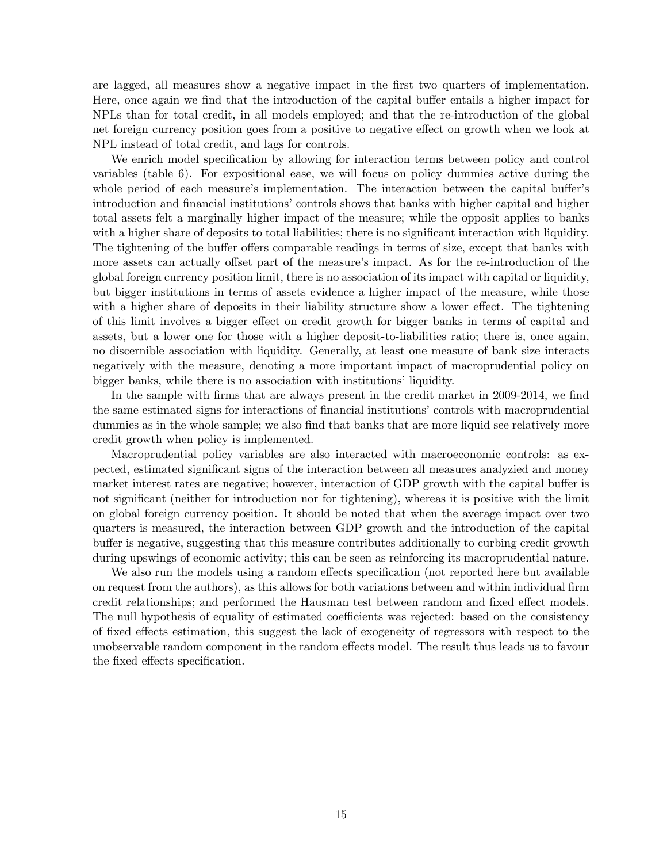are lagged, all measures show a negative impact in the Örst two quarters of implementation. Here, once again we find that the introduction of the capital buffer entails a higher impact for NPLs than for total credit, in all models employed; and that the re-introduction of the global net foreign currency position goes from a positive to negative effect on growth when we look at NPL instead of total credit, and lags for controls.

We enrich model specification by allowing for interaction terms between policy and control variables (table 6). For expositional ease, we will focus on policy dummies active during the whole period of each measure's implementation. The interaction between the capital buffer's introduction and financial institutions' controls shows that banks with higher capital and higher total assets felt a marginally higher impact of the measure; while the opposit applies to banks with a higher share of deposits to total liabilities; there is no significant interaction with liquidity. The tightening of the buffer offers comparable readings in terms of size, except that banks with more assets can actually offset part of the measure's impact. As for the re-introduction of the global foreign currency position limit, there is no association of its impact with capital or liquidity, but bigger institutions in terms of assets evidence a higher impact of the measure, while those with a higher share of deposits in their liability structure show a lower effect. The tightening of this limit involves a bigger effect on credit growth for bigger banks in terms of capital and assets, but a lower one for those with a higher deposit-to-liabilities ratio; there is, once again, no discernible association with liquidity. Generally, at least one measure of bank size interacts negatively with the measure, denoting a more important impact of macroprudential policy on bigger banks, while there is no association with institutions' liquidity.

In the sample with firms that are always present in the credit market in 2009-2014, we find the same estimated signs for interactions of financial institutions' controls with macroprudential dummies as in the whole sample; we also find that banks that are more liquid see relatively more credit growth when policy is implemented.

Macroprudential policy variables are also interacted with macroeconomic controls: as expected, estimated significant signs of the interaction between all measures analyzied and money market interest rates are negative; however, interaction of GDP growth with the capital buffer is not significant (neither for introduction nor for tightening), whereas it is positive with the limit on global foreign currency position. It should be noted that when the average impact over two quarters is measured, the interaction between GDP growth and the introduction of the capital buffer is negative, suggesting that this measure contributes additionally to curbing credit growth during upswings of economic activity; this can be seen as reinforcing its macroprudential nature.

We also run the models using a random effects specification (not reported here but available on request from the authors), as this allows for both variations between and within individual Örm credit relationships; and performed the Hausman test between random and fixed effect models. The null hypothesis of equality of estimated coefficients was rejected: based on the consistency of fixed effects estimation, this suggest the lack of exogeneity of regressors with respect to the unobservable random component in the random effects model. The result thus leads us to favour the fixed effects specification.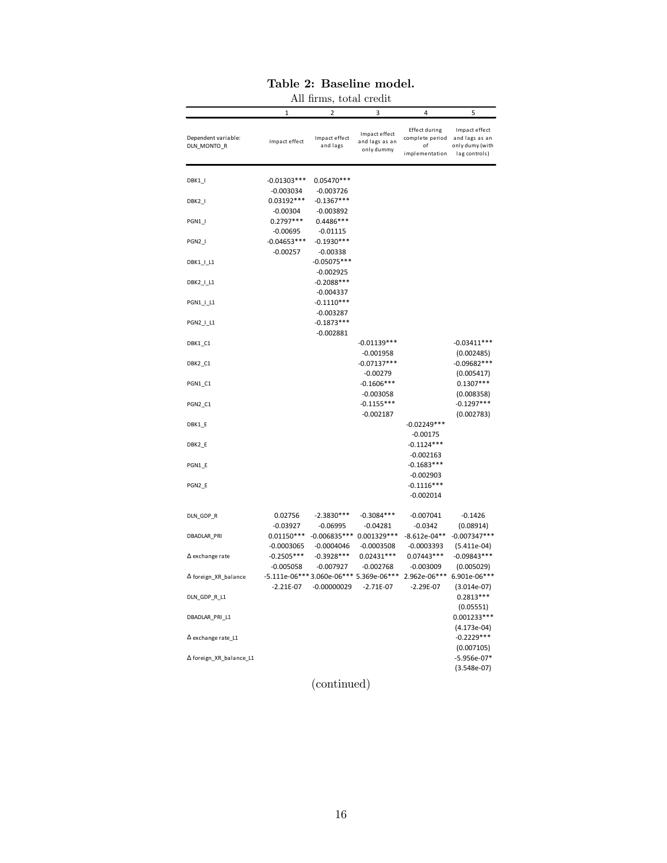# Table 2: Baseline model.

|                                    |                              | All firms, total credit        |                                                        |                                                                         |                                                   |
|------------------------------------|------------------------------|--------------------------------|--------------------------------------------------------|-------------------------------------------------------------------------|---------------------------------------------------|
|                                    | $\mathbf{1}$                 | 2                              | 3                                                      | 4                                                                       | 5                                                 |
| Dependent variable:<br>DLN_MONTO_R | Impact effect                | Impact effect<br>and lags      | Impact effect<br>and lags as an<br>only dummy          | Effect during<br>complete period and lags as an<br>οf<br>implementation | Impact effect<br>only dumy (with<br>lag controls) |
| DBK1_I                             | $-0.01303***$<br>$-0.003034$ | 0.05470 ***<br>$-0.003726$     |                                                        |                                                                         |                                                   |
| DBK2_I                             | $0.03192***$<br>$-0.00304$   | $-0.1367***$<br>$-0.003892$    |                                                        |                                                                         |                                                   |
| PGN1_I                             | $0.2797***$<br>$-0.00695$    | 0.4486 ***<br>$-0.01115$       |                                                        |                                                                         |                                                   |
| PGN2_I                             | $-0.04653***$<br>$-0.00257$  | $-0.1930***$<br>$-0.00338$     |                                                        |                                                                         |                                                   |
| DBK1_I_L1                          |                              | $-0.05075***$<br>$-0.002925$   |                                                        |                                                                         |                                                   |
| DBK2_I_L1                          |                              | $-0.2088***$<br>$-0.004337$    |                                                        |                                                                         |                                                   |
| PGN1_I_L1                          |                              | $-0.1110***$<br>$-0.003287$    |                                                        |                                                                         |                                                   |
| PGN2_I_L1                          |                              | $-0.1873***$<br>$-0.002881$    |                                                        |                                                                         |                                                   |
| DBK1_C1                            |                              |                                | $-0.01139***$<br>$-0.001958$                           |                                                                         | $-0.03411***$<br>(0.002485)                       |
| DBK2_C1                            |                              |                                | $-0.07137***$<br>$-0.00279$                            |                                                                         | $-0.09682***$<br>(0.005417)                       |
| PGN1_C1                            |                              |                                | $-0.1606***$<br>$-0.003058$                            |                                                                         | $0.1307***$<br>(0.008358)                         |
| PGN2 C1                            |                              |                                | $-0.1155***$                                           |                                                                         | $-0.1297***$                                      |
| DBK1_E                             |                              |                                | $-0.002187$                                            | $-0.02249***$                                                           | (0.002783)                                        |
| DBK2_E                             |                              |                                |                                                        | $-0.00175$<br>$-0.1124***$                                              |                                                   |
| PGN1_E                             |                              |                                |                                                        | $-0.002163$<br>$-0.1683***$<br>$-0.002903$                              |                                                   |
| PGN2_E                             |                              |                                |                                                        | $-0.1116***$<br>$-0.002014$                                             |                                                   |
| DLN_GDP_R                          | 0.02756<br>$-0.03927$        | $-2.3830***$<br>$-0.06995$     | $-0.3084***$<br>-0.04281                               | $-0.007041$<br>$-0.0342$                                                | $-0.1426$                                         |
| DBADLAR_PRI                        | $0.01150***$<br>$-0.0003065$ | $-0.006835***$<br>$-0.0004046$ | 0.001329 ***<br>$-0.0003508$                           | $-8.612e-04**$<br>$-0.0003393$                                          | (0.08914)<br>$-0.007347***$<br>$(5.411e-04)$      |
| $\Delta$ exchange rate             | $-0.2505***$<br>$-0.005058$  | $-0.3928***$<br>$-0.007927$    | $0.02431***$<br>$-0.002768$                            | $0.07443***$<br>$-0.003009$                                             | $-0.09843***$<br>(0.005029)                       |
| $\Delta$ foreign_XR_balance        | $-2.21E-07$                  | $-0.00000029$                  | -5.111e-06*** 3.060e-06*** 5.369e-06***<br>$-2.71E-07$ | 2.962e-06***<br>$-2.29E-07$                                             | 6.901e-06***<br>$(3.014e-07)$                     |
| DLN_GDP_R_L1                       |                              |                                |                                                        |                                                                         | $0.2813***$<br>(0.05551)                          |
| DBADLAR PRI L1                     |                              |                                |                                                        |                                                                         | 0.001233***<br>$(4.173e-04)$                      |
| $\Delta$ exchange rate L1          |                              |                                |                                                        |                                                                         | $-0.2229***$<br>(0.007105)                        |
| ∆ foreign_XR_balance_L1            |                              |                                |                                                        |                                                                         | $-5.956e-07*$<br>$(3.548e-07)$                    |

# (continued)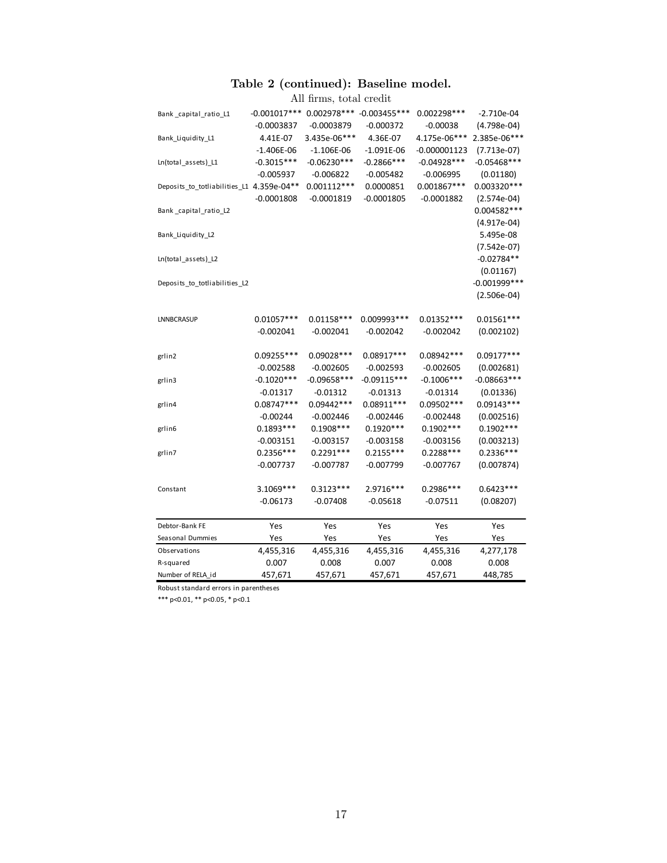#### Table 2 (continued): Baseline model.

|                                           |                | All firms, total credit |                             |                |                 |
|-------------------------------------------|----------------|-------------------------|-----------------------------|----------------|-----------------|
| Bank_capital_ratio_L1                     | $-0.001017***$ |                         | 0.002978 *** - 0.003455 *** | $0.002298***$  | $-2.710e-04$    |
|                                           | $-0.0003837$   | $-0.0003879$            | $-0.000372$                 | $-0.00038$     | $(4.798e-04)$   |
| Bank_Liquidity_L1                         | 4.41E-07       | 3.435e-06***            | 4.36E-07                    | 4.175e-06***   | 2.385e-06***    |
|                                           | $-1.406E-06$   | $-1.106E-06$            | $-1.091E-06$                | $-0.000001123$ | $(7.713e-07)$   |
| Ln(total_assets)_L1                       | $-0.3015***$   | $-0.06230***$           | $-0.2866$ ***               | $-0.04928***$  | $-0.05468$ ***  |
|                                           | $-0.005937$    | $-0.006822$             | $-0.005482$                 | $-0.006995$    | (0.01180)       |
| Deposits_to_totliabilities_L1 4.359e-04** |                | $0.001112***$           | 0.0000851                   | $0.001867***$  | 0.003320 ***    |
|                                           | $-0.0001808$   | $-0.0001819$            | $-0.0001805$                | $-0.0001882$   | $(2.574e-04)$   |
| Bank_capital_ratio_L2                     |                |                         |                             |                | 0.004582 ***    |
|                                           |                |                         |                             |                | $(4.917e-04)$   |
| Bank_Liquidity_L2                         |                |                         |                             |                | 5.495e-08       |
|                                           |                |                         |                             |                | $(7.542e-07)$   |
| Ln(total_assets)_L2                       |                |                         |                             |                | $-0.02784**$    |
|                                           |                |                         |                             |                | (0.01167)       |
| Deposits_to_totliabilities_L2             |                |                         |                             |                | $-0.001999$ *** |
|                                           |                |                         |                             |                | $(2.506e-04)$   |
| LNNBCRASUP                                | $0.01057***$   | $0.01158***$            | 0.009993***                 | $0.01352***$   | $0.01561***$    |
|                                           | $-0.002041$    | $-0.002041$             | $-0.002042$                 | $-0.002042$    | (0.002102)      |
|                                           |                |                         |                             |                |                 |
| grlin2                                    | 0.09255***     | $0.09028***$            | 0.08917***                  | 0.08942 ***    | $0.09177***$    |
|                                           | $-0.002588$    | $-0.002605$             | $-0.002593$                 | $-0.002605$    | (0.002681)      |
| grlin3                                    | $-0.1020***$   | $-0.09658***$           | $-0.09115***$               | $-0.1006***$   | $-0.08663***$   |
|                                           | $-0.01317$     | $-0.01312$              | $-0.01313$                  | $-0.01314$     | (0.01336)       |
| grlin4                                    | $0.08747***$   | 0.09442 ***             | $0.08911***$                | 0.09502 ***    | $0.09143***$    |
|                                           | $-0.00244$     | $-0.002446$             | $-0.002446$                 | $-0.002448$    | (0.002516)      |
| grlin6                                    | $0.1893***$    | $0.1908***$             | $0.1920***$                 | $0.1902***$    | $0.1902***$     |
|                                           | $-0.003151$    | $-0.003157$             | $-0.003158$                 | $-0.003156$    | (0.003213)      |
| grlin7                                    | $0.2356***$    | $0.2291***$             | $0.2155***$                 | $0.2288***$    | $0.2336***$     |
|                                           | $-0.007737$    | $-0.007787$             | $-0.007799$                 | $-0.007767$    | (0.007874)      |
| Constant                                  | $3.1069***$    | $0.3123***$             | 2.9716***                   | 0.2986***      | $0.6423***$     |
|                                           | $-0.06173$     | $-0.07408$              | $-0.05618$                  | $-0.07511$     | (0.08207)       |
|                                           |                |                         |                             |                |                 |
| Debtor-Bank FE                            | Yes            | Yes                     | Yes                         | Yes            | Yes             |
| Seasonal Dummies                          | Yes            | Yes                     | Yes                         | Yes            | Yes             |
| Observations                              | 4,455,316      | 4,455,316               | 4,455,316                   | 4,455,316      | 4,277,178       |
| R-squared                                 | 0.007          | 0.008                   | 0.007                       | 0.008          | 0.008           |
| Number of RELA_id                         | 457,671        | 457,671                 | 457,671                     | 457,671        | 448,785         |

Robust standard errors in parentheses

\*\*\* p<0.01, \*\* p<0.05, \* p<0.1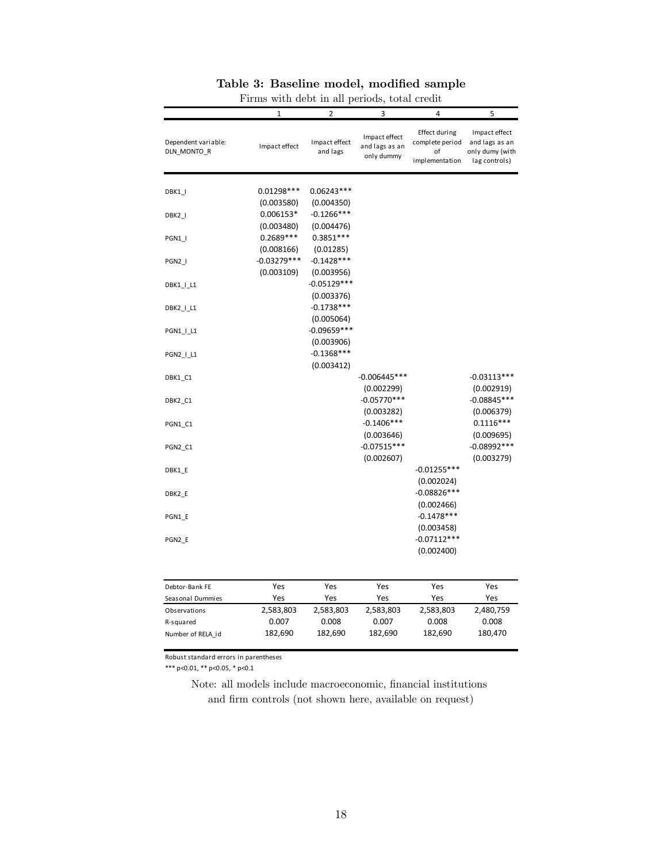|                                    | r irms with ucbe in an perious,<br>$\mathbf{1}$ | $\overline{2}$                              | 3                                             | votal create<br>4                                        | 5                                                                   |
|------------------------------------|-------------------------------------------------|---------------------------------------------|-----------------------------------------------|----------------------------------------------------------|---------------------------------------------------------------------|
|                                    |                                                 |                                             |                                               |                                                          |                                                                     |
| Dependent variable:<br>DLN_MONTO_R | Impact effect                                   | Impact effect<br>and lags                   | Impact effect<br>and lags as an<br>only dummy | Effect during<br>complete period<br>of<br>implementation | Impact effect<br>and lags as an<br>only dumy (with<br>lag controls) |
| DBK1_I                             | $0.01298***$<br>(0.003580)                      | 0.06243***<br>(0.004350)                    |                                               |                                                          |                                                                     |
| DBK2_I                             | $0.006153*$<br>(0.003480)                       | $-0.1266***$<br>(0.004476)                  |                                               |                                                          |                                                                     |
| PGN1 I                             | 0.2689***<br>(0.008166)                         | $0.3851***$<br>(0.01285)                    |                                               |                                                          |                                                                     |
| PGN2 I                             | $-0.03279***$<br>(0.003109)                     | $-0.1428***$<br>(0.003956)                  |                                               |                                                          |                                                                     |
| DBK1_I_L1                          |                                                 | $-0.05129***$<br>(0.003376)                 |                                               |                                                          |                                                                     |
| DBK2_I_L1                          |                                                 | $-0.1738***$<br>(0.005064)<br>$-0.09659***$ |                                               |                                                          |                                                                     |
| PGN1   L1<br>PGN2_I_L1             |                                                 | (0.003906)<br>$-0.1368***$                  |                                               |                                                          |                                                                     |
| DBK1_C1                            |                                                 | (0.003412)                                  | $-0.006445***$                                |                                                          | $-0.03113***$                                                       |
| DBK2 C1                            |                                                 |                                             | (0.002299)<br>$-0.05770***$                   |                                                          | (0.002919)<br>$-0.08845***$                                         |
| PGN1_C1                            |                                                 |                                             | (0.003282)<br>$-0.1406***$<br>(0.003646)      |                                                          | (0.006379)<br>$0.1116***$<br>(0.009695)                             |
| PGN2_C1                            |                                                 |                                             | $-0.07515***$<br>(0.002607)                   |                                                          | $-0.08992***$<br>(0.003279)                                         |
| DBK1 E                             |                                                 |                                             |                                               | $-0.01255***$<br>(0.002024)                              |                                                                     |
| DBK2 E                             |                                                 |                                             |                                               | $-0.08826***$<br>(0.002466)                              |                                                                     |
| PGN1 E                             |                                                 |                                             |                                               | $-0.1478***$<br>(0.003458)                               |                                                                     |
| PGN2 E                             |                                                 |                                             |                                               | $-0.07112***$<br>(0.002400)                              |                                                                     |
| Debtor-Bank FE                     | Yes                                             | Yes                                         | Yes                                           | Yes                                                      | Yes                                                                 |
| Seasonal Dummies                   | Yes                                             | Yes                                         | Yes                                           | Yes                                                      | Yes                                                                 |
| Observations                       | 2,583,803                                       | 2,583,803                                   | 2,583,803                                     | 2,583,803                                                | 2,480,759                                                           |
| R-squared                          | 0.007                                           | 0.008                                       | 0.007                                         | 0.008                                                    | 0.008                                                               |
| Number of RELA_id                  | 182,690                                         | 182,690                                     | 182,690                                       | 182,690                                                  | 180,470                                                             |

#### Table 3: Baseline model, modified sample Firms with debt in all periods, total credit

Robust standard errors in parentheses

\*\*\* p<0.01, \*\* p<0.05, \* p<0.1

Note: all models include macroeconomic, financial institutions and firm controls (not shown here, available on request)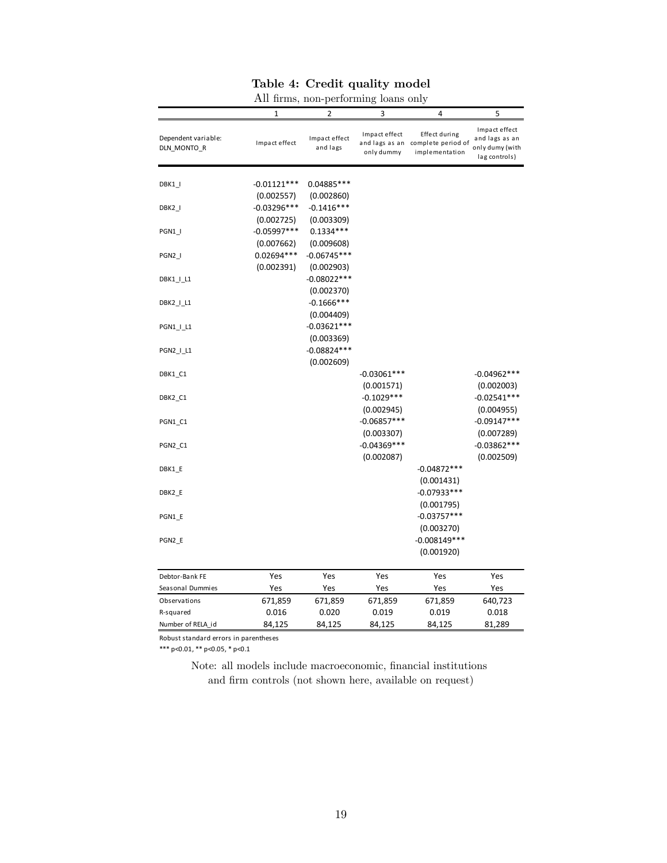|                                    |               | ÷.                        | ပ                           |                                                                      |                                                                     |
|------------------------------------|---------------|---------------------------|-----------------------------|----------------------------------------------------------------------|---------------------------------------------------------------------|
|                                    | $\mathbf{1}$  | 2                         | 3                           | 4                                                                    | 5                                                                   |
| Dependent variable:<br>DLN_MONTO_R | Impact effect | Impact effect<br>and lags | Impact effect<br>only dummy | Effect during<br>and lags as an complete period of<br>implementation | Impact effect<br>and lags as an<br>only dumy (with<br>lag controls) |
| DBK1_I                             | $-0.01121***$ | 0.04885***                |                             |                                                                      |                                                                     |
|                                    | (0.002557)    | (0.002860)                |                             |                                                                      |                                                                     |
| DBK2_I                             | $-0.03296***$ | $-0.1416***$              |                             |                                                                      |                                                                     |
|                                    | (0.002725)    | (0.003309)                |                             |                                                                      |                                                                     |
| PGN1_I                             | $-0.05997***$ | $0.1334***$               |                             |                                                                      |                                                                     |
|                                    | (0.007662)    | (0.009608)                |                             |                                                                      |                                                                     |
| PGN2_I                             | 0.02694 ***   | $-0.06745***$             |                             |                                                                      |                                                                     |
|                                    | (0.002391)    | (0.002903)                |                             |                                                                      |                                                                     |
| DBK1_I_L1                          |               | $-0.08022***$             |                             |                                                                      |                                                                     |
|                                    |               | (0.002370)                |                             |                                                                      |                                                                     |
| DBK2_I_L1                          |               | $-0.1666$ ***             |                             |                                                                      |                                                                     |
|                                    |               | (0.004409)                |                             |                                                                      |                                                                     |
| PGN1_I_L1                          |               | $-0.03621***$             |                             |                                                                      |                                                                     |
|                                    |               | (0.003369)                |                             |                                                                      |                                                                     |
| PGN2_I_L1                          |               | $-0.08824***$             |                             |                                                                      |                                                                     |
|                                    |               | (0.002609)                |                             |                                                                      |                                                                     |
| DBK1_C1                            |               |                           | $-0.03061***$               |                                                                      | $-0.04962***$                                                       |
|                                    |               |                           | (0.001571)                  |                                                                      | (0.002003)                                                          |
| DBK2_C1                            |               |                           | $-0.1029***$                |                                                                      | $-0.02541***$                                                       |
|                                    |               |                           | (0.002945)                  |                                                                      | (0.004955)                                                          |
| PGN1_C1                            |               |                           | $-0.06857***$               |                                                                      | $-0.09147***$                                                       |
|                                    |               |                           | (0.003307)                  |                                                                      | (0.007289)                                                          |
| PGN2_C1                            |               |                           | $-0.04369***$               |                                                                      | $-0.03862***$                                                       |
|                                    |               |                           | (0.002087)                  |                                                                      | (0.002509)                                                          |
| DBK1_E                             |               |                           |                             | $-0.04872***$                                                        |                                                                     |
|                                    |               |                           |                             | (0.001431)                                                           |                                                                     |
| DBK2_E                             |               |                           |                             | $-0.07933***$                                                        |                                                                     |
|                                    |               |                           |                             | (0.001795)                                                           |                                                                     |
| PGN1_E                             |               |                           |                             | $-0.03757***$                                                        |                                                                     |
|                                    |               |                           |                             | (0.003270)                                                           |                                                                     |
| PGN2_E                             |               |                           |                             | $-0.008149***$                                                       |                                                                     |
|                                    |               |                           |                             | (0.001920)                                                           |                                                                     |
| Debtor-Bank FE                     | Yes           | Yes                       | Yes                         | Yes                                                                  | Yes                                                                 |
| Seasonal Dummies                   | Yes           | Yes                       | Yes                         | Yes                                                                  | Yes                                                                 |
| Observations                       | 671,859       | 671,859                   | 671,859                     | 671,859                                                              | 640,723                                                             |
| R-squared                          | 0.016         | 0.020                     | 0.019                       | 0.019                                                                | 0.018                                                               |
| Number of RELA id                  | 84,125        | 84,125                    | 84,125                      | 84,125                                                               | 81,289                                                              |
|                                    |               |                           |                             |                                                                      |                                                                     |

| All firms, non-performing loans only |  |  |  |  |  |
|--------------------------------------|--|--|--|--|--|
|--------------------------------------|--|--|--|--|--|

Robust standard errors in parentheses

\*\*\* p<0.01, \*\* p<0.05, \* p<0.1

Note: all models include macroeconomic, financial institutions and firm controls (not shown here, available on request)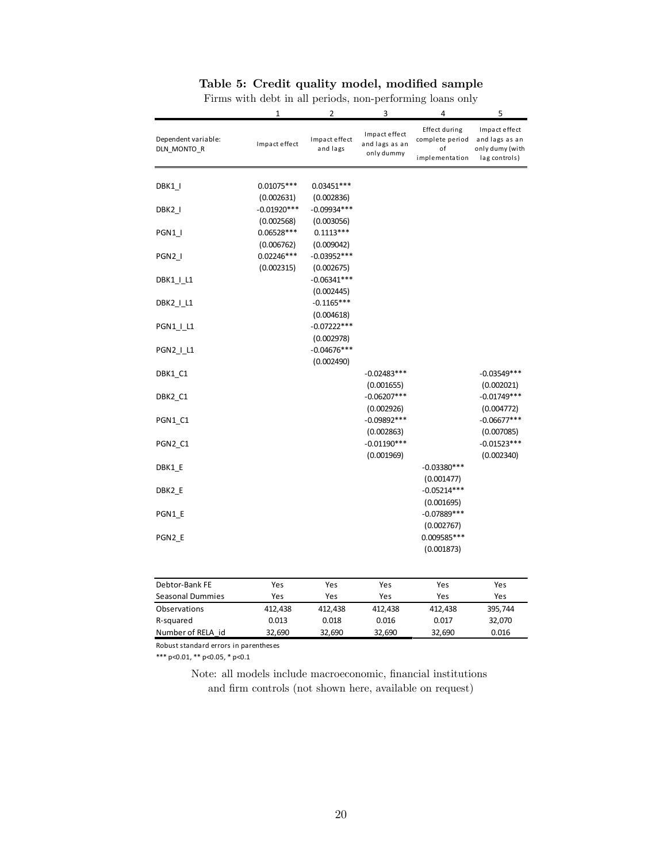#### Table 5: Credit quality model, modified sample

|                                                                                                                                                                                                                            | 1                                                                                                                     | 2                                                                                                                                                                                                                                                | 3                                                                                                                        | 4                                                                                                                       | 5                                                                                                                        |
|----------------------------------------------------------------------------------------------------------------------------------------------------------------------------------------------------------------------------|-----------------------------------------------------------------------------------------------------------------------|--------------------------------------------------------------------------------------------------------------------------------------------------------------------------------------------------------------------------------------------------|--------------------------------------------------------------------------------------------------------------------------|-------------------------------------------------------------------------------------------------------------------------|--------------------------------------------------------------------------------------------------------------------------|
| Dependent variable:<br>DLN_MONTO_R                                                                                                                                                                                         | Impact effect                                                                                                         | Impact effect<br>and lags                                                                                                                                                                                                                        | Impact effect<br>and lags as an<br>only dummy                                                                            | Effect during<br>complete period<br>оf<br>implementation                                                                | Impact effect<br>and lags as an<br>only dumy (with<br>lag controls)                                                      |
| DBK1_I<br>DBK2_I<br>PGN1_I<br>PGN <sub>2</sub><br>DBK1_I_L1<br>DBK2_I_L1<br>PGN1_I_L1<br>PGN2_I_L1<br>DBK1_C1<br>DBK2_C1<br>PGN1_C1<br>PGN <sub>2</sub> C <sub>1</sub><br>DBK1 E<br>DBK2_E<br>PGN1 E<br>PGN <sub>2</sub> E | $0.01075***$<br>(0.002631)<br>$-0.01920***$<br>(0.002568)<br>$0.06528***$<br>(0.006762)<br>$0.02246***$<br>(0.002315) | $0.03451***$<br>(0.002836)<br>$-0.09934***$<br>(0.003056)<br>$0.1113***$<br>(0.009042)<br>$-0.03952***$<br>(0.002675)<br>$-0.06341***$<br>(0.002445)<br>$-0.1165***$<br>(0.004618)<br>$-0.07222***$<br>(0.002978)<br>$-0.04676***$<br>(0.002490) | $-0.02483***$<br>(0.001655)<br>$-0.06207***$<br>(0.002926)<br>$-0.09892***$<br>(0.002863)<br>$-0.01190***$<br>(0.001969) | $-0.03380***$<br>(0.001477)<br>$-0.05214***$<br>(0.001695)<br>$-0.07889***$<br>(0.002767)<br>0.009585 ***<br>(0.001873) | $-0.03549***$<br>(0.002021)<br>$-0.01749***$<br>(0.004772)<br>$-0.06677***$<br>(0.007085)<br>$-0.01523***$<br>(0.002340) |
| Debtor-Bank FE                                                                                                                                                                                                             | Yes                                                                                                                   | Yes                                                                                                                                                                                                                                              | Yes                                                                                                                      | Yes                                                                                                                     | Yes                                                                                                                      |
| <b>Seasonal Dummies</b>                                                                                                                                                                                                    | Yes                                                                                                                   | Yes                                                                                                                                                                                                                                              | Yes                                                                                                                      | Yes                                                                                                                     | Yes                                                                                                                      |
| Observations                                                                                                                                                                                                               | 412,438                                                                                                               | 412,438                                                                                                                                                                                                                                          | 412,438                                                                                                                  | 412,438                                                                                                                 | 395,744                                                                                                                  |
| R-squared                                                                                                                                                                                                                  | 0.013                                                                                                                 | 0.018                                                                                                                                                                                                                                            | 0.016                                                                                                                    | 0.017                                                                                                                   | 32,070                                                                                                                   |
| Number of RELA id                                                                                                                                                                                                          | 32,690                                                                                                                | 32,690                                                                                                                                                                                                                                           | 32,690                                                                                                                   | 32,690                                                                                                                  | 0.016                                                                                                                    |

Firms with debt in all periods, non-performing loans only

Robust standard errors in parentheses

\*\*\* p<0.01, \*\* p<0.05, \* p<0.1

Note: all models include macroeconomic, financial institutions and firm controls (not shown here, available on request)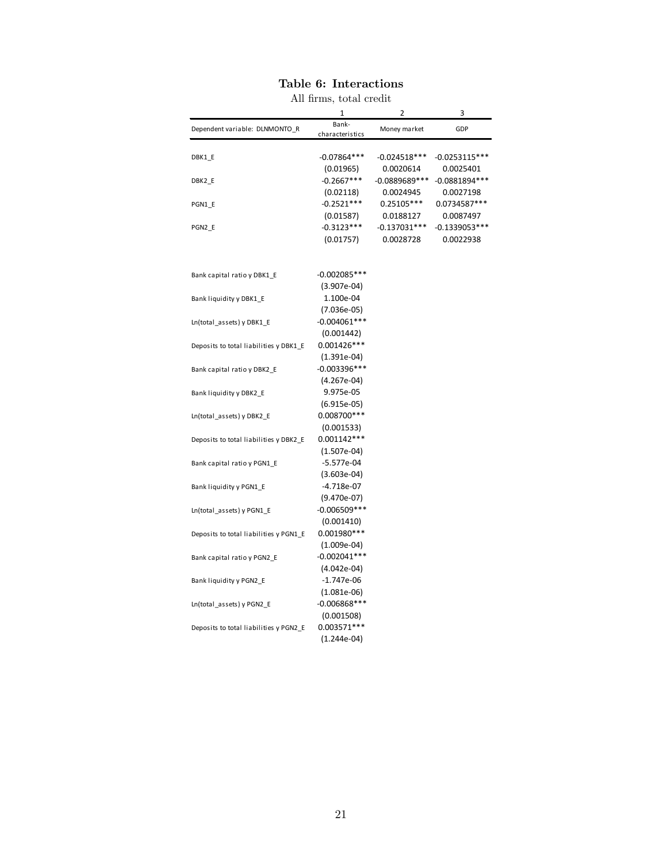| All firms, total credit                |                           |                |                              |  |  |
|----------------------------------------|---------------------------|----------------|------------------------------|--|--|
|                                        | 1                         | 2              | 3                            |  |  |
| Dependent variable: DLNMONTO_R         | Bank-                     | Money market   | GDP                          |  |  |
|                                        | characteristics           |                |                              |  |  |
|                                        |                           | $-0.024518***$ |                              |  |  |
| DBK1 E                                 | $-0.07864***$             |                | $-0.0253115***$              |  |  |
|                                        | (0.01965)<br>$-0.2667***$ | 0.0020614      | 0.0025401<br>$-0.0881894***$ |  |  |
| DBK2 E                                 |                           | $-0.0889689**$ |                              |  |  |
|                                        | (0.02118)                 | 0.0024945      | 0.0027198                    |  |  |
| PGN1_E                                 | $-0.2521***$              | $0.25105***$   | 0.0734587***                 |  |  |
|                                        | (0.01587)                 | 0.0188127      | 0.0087497                    |  |  |
| PGN2 E                                 | $-0.3123***$              | $-0.137031***$ | $-0.1339053***$              |  |  |
|                                        | (0.01757)                 | 0.0028728      | 0.0022938                    |  |  |
|                                        |                           |                |                              |  |  |
|                                        | $-0.002085***$            |                |                              |  |  |
| Bank capital ratio y DBK1_E            |                           |                |                              |  |  |
|                                        | $(3.907e-04)$             |                |                              |  |  |
| Bank liquidity y DBK1_E                | 1.100e-04                 |                |                              |  |  |
|                                        | $(7.036e-05)$             |                |                              |  |  |
| Ln(total_assets) y DBK1_E              | $-0.004061***$            |                |                              |  |  |
|                                        | (0.001442)                |                |                              |  |  |
| Deposits to total liabilities y DBK1_E | $0.001426***$             |                |                              |  |  |
|                                        | $(1.391e-04)$             |                |                              |  |  |
| Bank capital ratio y DBK2_E            | $-0.003396***$            |                |                              |  |  |
|                                        | $(4.267e-04)$             |                |                              |  |  |
| Bank liquidity y DBK2_E                | 9.975e-05                 |                |                              |  |  |
|                                        | $(6.915e-05)$             |                |                              |  |  |
| Ln(total_assets) y DBK2_E              | 0.008700 ***              |                |                              |  |  |
|                                        | (0.001533)                |                |                              |  |  |
| Deposits to total liabilities y DBK2_E | $0.001142***$             |                |                              |  |  |
|                                        | $(1.507e-04)$             |                |                              |  |  |
| Bank capital ratio y PGN1 E            | $-5.577e-04$              |                |                              |  |  |
|                                        | $(3.603e-04)$             |                |                              |  |  |
| Bank liquidity y PGN1_E                | $-4.718e-07$              |                |                              |  |  |
|                                        | $(9.470e-07)$             |                |                              |  |  |
| Ln(total_assets) y PGN1_E              | $-0.006509***$            |                |                              |  |  |
|                                        | (0.001410)                |                |                              |  |  |
| Deposits to total liabilities y PGN1_E | 0.001980 ***              |                |                              |  |  |
|                                        | $(1.009e-04)$             |                |                              |  |  |
| Bank capital ratio y PGN2_E            | $-0.002041***$            |                |                              |  |  |
|                                        | $(4.042e-04)$             |                |                              |  |  |
| Bank liquidity y PGN2_E                | $-1.747e-06$              |                |                              |  |  |
|                                        | $(1.081e-06)$             |                |                              |  |  |
| Ln(total_assets) y PGN2_E              | $-0.006868$ ***           |                |                              |  |  |
|                                        | (0.001508)                |                |                              |  |  |
| Deposits to total liabilities y PGN2_E | 0.003571 ***              |                |                              |  |  |
|                                        | $(1.244e-04)$             |                |                              |  |  |
|                                        |                           |                |                              |  |  |

# Table 6: Interactions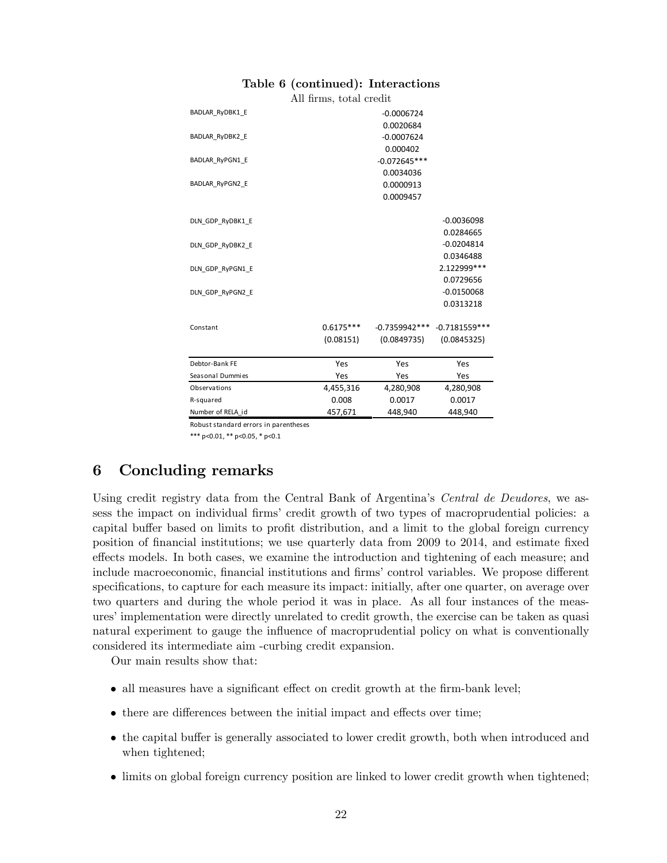|  |  |  | Table 6 (continued): Interactions |
|--|--|--|-----------------------------------|
|--|--|--|-----------------------------------|

All Örms, total credit

| BADLAR RyDBK1 E        |             | $-0.0006724$    |                 |
|------------------------|-------------|-----------------|-----------------|
|                        |             | 0.0020684       |                 |
| BADLAR RyDBK2 E        |             | $-0.0007624$    |                 |
|                        |             | 0.000402        |                 |
| <b>BADLAR RyPGN1 E</b> |             | $-0.072645***$  |                 |
|                        |             | 0.0034036       |                 |
| BADLAR RyPGN2 E        |             | 0.0000913       |                 |
|                        |             | 0.0009457       |                 |
|                        |             |                 |                 |
| DLN GDP RyDBK1 E       |             |                 | $-0.0036098$    |
|                        |             |                 | 0.0284665       |
| DLN GDP RyDBK2 E       |             |                 | $-0.0204814$    |
|                        |             |                 | 0.0346488       |
| DLN GDP RyPGN1 E       |             |                 | 2.122999***     |
|                        |             |                 | 0.0729656       |
| DLN GDP RyPGN2 E       |             |                 | $-0.0150068$    |
|                        |             |                 | 0.0313218       |
|                        |             |                 |                 |
| Constant               | $0.6175***$ | $-0.7359942***$ | $-0.7181559***$ |
|                        | (0.08151)   | (0.0849735)     | (0.0845325)     |
|                        |             |                 |                 |
| Debtor-Bank FE         | Yes         | Yes             | Yes             |
| Seasonal Dummies       | Yes         | Yes             | Yes             |
| Observations           | 4,455,316   | 4,280,908       | 4,280,908       |
| R-squared              | 0.008       | 0.0017          | 0.0017          |
| Number of RELA id      | 457,671     | 448,940         | 448,940         |

Robust standard errors in parentheses

\*\*\* p<0.01, \*\* p<0.05, \* p<0.1

# 6 Concluding remarks

Using credit registry data from the Central Bank of Argentina's Central de Deudores, we assess the impact on individual firms' credit growth of two types of macroprudential policies: a capital buffer based on limits to profit distribution, and a limit to the global foreign currency position of financial institutions; we use quarterly data from 2009 to 2014, and estimate fixed effects models. In both cases, we examine the introduction and tightening of each measure; and include macroeconomic, financial institutions and firms' control variables. We propose different specifications, to capture for each measure its impact: initially, after one quarter, on average over two quarters and during the whole period it was in place. As all four instances of the measures' implementation were directly unrelated to credit growth, the exercise can be taken as quasi natural experiment to gauge the influence of macroprudential policy on what is conventionally considered its intermediate aim -curbing credit expansion.

Our main results show that:

- all measures have a significant effect on credit growth at the firm-bank level;
- there are differences between the initial impact and effects over time;
- the capital buffer is generally associated to lower credit growth, both when introduced and when tightened;
- limits on global foreign currency position are linked to lower credit growth when tightened;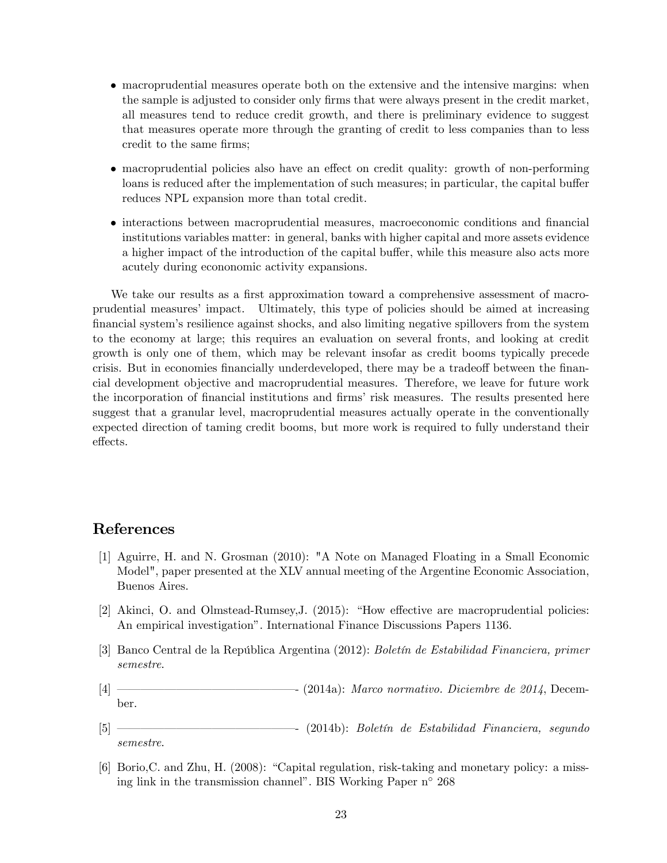- macroprudential measures operate both on the extensive and the intensive margins: when the sample is adjusted to consider only firms that were always present in the credit market, all measures tend to reduce credit growth, and there is preliminary evidence to suggest that measures operate more through the granting of credit to less companies than to less credit to the same firms;
- macroprudential policies also have an effect on credit quality: growth of non-performing loans is reduced after the implementation of such measures; in particular, the capital buffer reduces NPL expansion more than total credit.
- interactions between macroprudential measures, macroeconomic conditions and financial institutions variables matter: in general, banks with higher capital and more assets evidence a higher impact of the introduction of the capital buffer, while this measure also acts more acutely during econonomic activity expansions.

We take our results as a first approximation toward a comprehensive assessment of macroprudential measuresí impact. Ultimately, this type of policies should be aimed at increasing financial system's resilience against shocks, and also limiting negative spillovers from the system to the economy at large; this requires an evaluation on several fronts, and looking at credit growth is only one of them, which may be relevant insofar as credit booms typically precede crisis. But in economies financially underdeveloped, there may be a tradeoff between the financial development objective and macroprudential measures. Therefore, we leave for future work the incorporation of financial institutions and firms' risk measures. The results presented here suggest that a granular level, macroprudential measures actually operate in the conventionally expected direction of taming credit booms, but more work is required to fully understand their effects.

# References

- [1] Aguirre, H. and N. Grosman (2010): "A Note on Managed Floating in a Small Economic Model", paper presented at the XLV annual meeting of the Argentine Economic Association, Buenos Aires.
- [2] Akinci, O. and Olmstead-Rumsey, J.  $(2015)$ : "How effective are macroprudential policies: An empirical investigationî. International Finance Discussions Papers 1136.
- [3] Banco Central de la República Argentina (2012): Boletín de Estabilidad Financiera, primer semestre.
- $[4]$   $\longrightarrow$  (2014a): Marco normativo. Diciembre de 2014, December.
- $[5]$   $\longrightarrow$   $(2014b)$ : Boletin de Estabilidad Financiera, segundo semestre.
- $[6]$  Borio, C. and Zhu, H. (2008): "Capital regulation, risk-taking and monetary policy: a missing link in the transmission channel". BIS Working Paper  $n^{\circ}$  268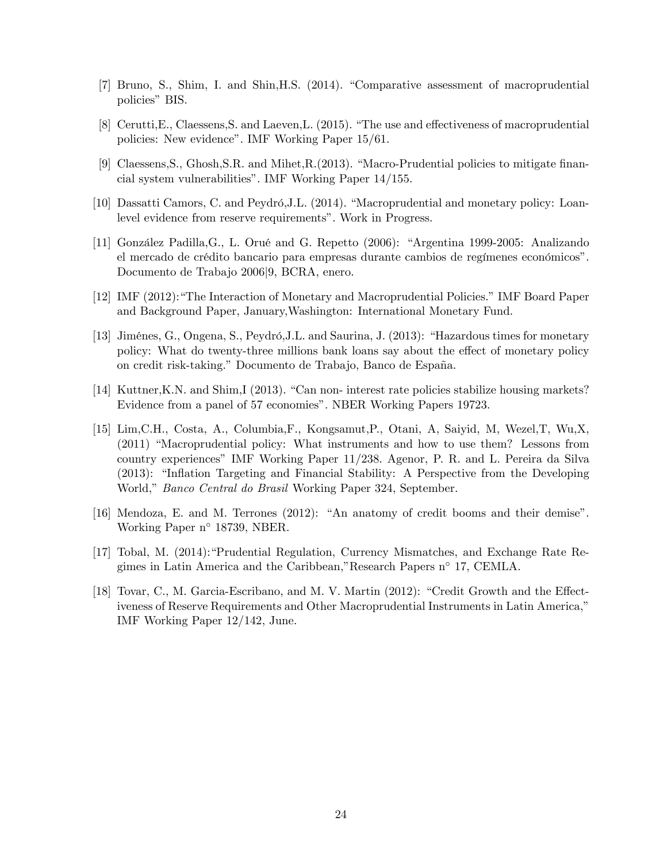- [7] Bruno, S., Shim, I. and Shin, H.S. (2014). "Comparative assessment of macroprudential policies" BIS.
- $[8]$  Cerutti, E., Claessens, S. and Laeven, L.  $(2015)$ . "The use and effectiveness of macroprudential policies: New evidence". IMF Working Paper 15/61.
- [9] Claessens, S., Ghosh, S.R. and Mihet,  $R(2013)$ . "Macro-Prudential policies to mitigate financial system vulnerabilitiesî. IMF Working Paper 14/155.
- [10] Dassatti Camors, C. and Peydró, J.L. (2014). "Macroprudential and monetary policy: Loanlevel evidence from reserve requirements". Work in Progress.
- [11] González Padilla,G., L. Orué and G. Repetto (2006): "Argentina 1999-2005: Analizando el mercado de crédito bancario para empresas durante cambios de regímenes económicos". Documento de Trabajo 2006j9, BCRA, enero.
- [12] IMF (2012): "The Interaction of Monetary and Macroprudential Policies." IMF Board Paper and Background Paper, January,Washington: International Monetary Fund.
- [13] Jiménes, G., Ongena, S., Peydró, J.L. and Saurina, J. (2013): "Hazardous times for monetary policy: What do twenty-three millions bank loans say about the effect of monetary policy on credit risk-taking." Documento de Trabajo, Banco de España.
- [14] Kuttner, K.N. and Shim, I (2013). "Can non- interest rate policies stabilize housing markets? Evidence from a panel of 57 economies". NBER Working Papers 19723.
- [15] Lim,C.H., Costa, A., Columbia,F., Kongsamut,P., Otani, A, Saiyid, M, Wezel,T, Wu,X,  $(2011)$  "Macroprudential policy: What instruments and how to use them? Lessons from country experiencesî IMF Working Paper 11/238. Agenor, P. R. and L. Pereira da Silva  $(2013)$ : "Inflation Targeting and Financial Stability: A Perspective from the Developing World," Banco Central do Brasil Working Paper 324, September.
- $[16]$  Mendoza, E. and M. Terrones  $(2012)$ : "An anatomy of credit booms and their demise". Working Paper n° 18739, NBER.
- [17] Tobal, M. (2014): Prudential Regulation, Currency Mismatches, and Exchange Rate Regimes in Latin America and the Caribbean,"Research Papers n<sup>o</sup> 17, CEMLA.
- [18] Tovar, C., M. Garcia-Escribano, and M. V. Martin  $(2012)$ : "Credit Growth and the Effectiveness of Reserve Requirements and Other Macroprudential Instruments in Latin America," IMF Working Paper 12/142, June.